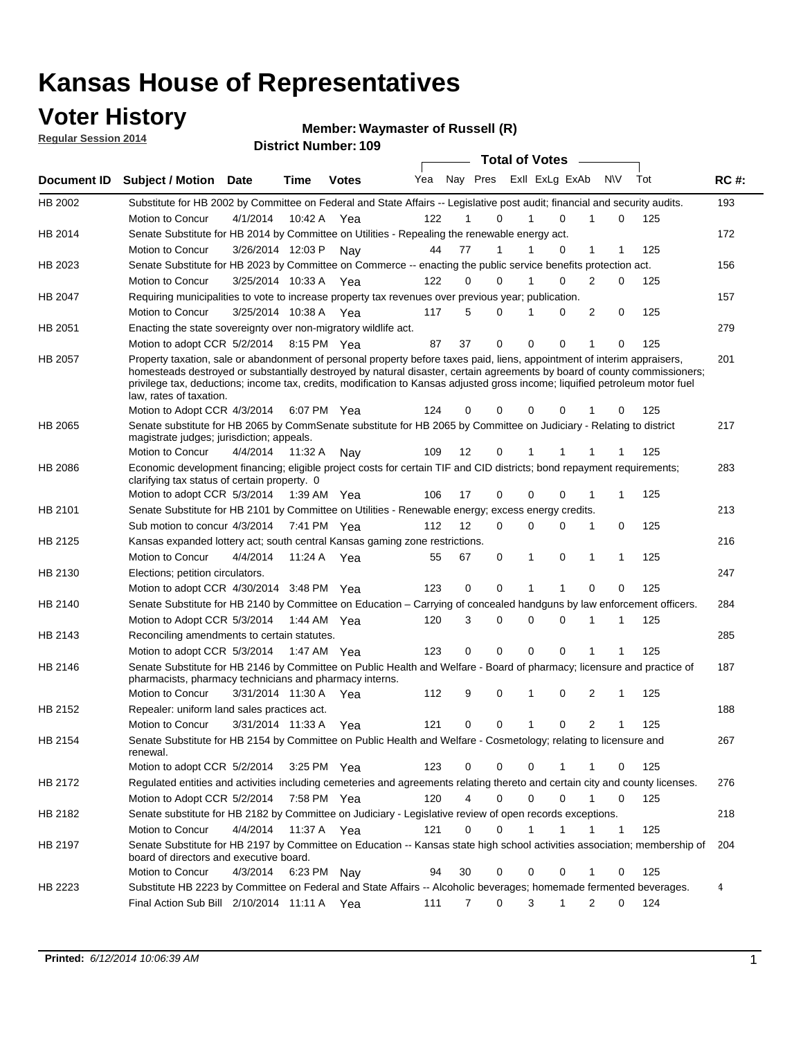### **Voter History**

**Regular Session 2014**

#### **Waymaster of Russell (R)**

|             |                                                                                                                                                                                                                                                                                                                                                                                                                  |                       | JUIVLITUIIINVI. |              |     |    |                  | <b>Total of Votes</b>      |          |                             |              |     |             |
|-------------|------------------------------------------------------------------------------------------------------------------------------------------------------------------------------------------------------------------------------------------------------------------------------------------------------------------------------------------------------------------------------------------------------------------|-----------------------|-----------------|--------------|-----|----|------------------|----------------------------|----------|-----------------------------|--------------|-----|-------------|
| Document ID | <b>Subject / Motion Date</b>                                                                                                                                                                                                                                                                                                                                                                                     |                       | <b>Time</b>     | <b>Votes</b> | Yea |    |                  | Nay Pres Exll ExLg ExAb    |          | N\V                         |              | Tot | <b>RC#:</b> |
| HB 2002     | Substitute for HB 2002 by Committee on Federal and State Affairs -- Legislative post audit; financial and security audits.                                                                                                                                                                                                                                                                                       |                       |                 |              |     |    |                  |                            |          |                             |              |     | 193         |
|             | Motion to Concur                                                                                                                                                                                                                                                                                                                                                                                                 | 4/1/2014              | 10:42 A         | Yea          | 122 | 1  | $\Omega$         | $\Omega$                   |          | 1                           | 0            | 125 |             |
| HB 2014     | Senate Substitute for HB 2014 by Committee on Utilities - Repealing the renewable energy act.                                                                                                                                                                                                                                                                                                                    |                       |                 |              |     |    |                  |                            |          |                             |              |     | 172         |
|             | Motion to Concur                                                                                                                                                                                                                                                                                                                                                                                                 | 3/26/2014 12:03 P Nay |                 |              | 44  | 77 | 1                | $\Omega$                   |          | 1                           |              | 125 |             |
| HB 2023     | Senate Substitute for HB 2023 by Committee on Commerce -- enacting the public service benefits protection act.                                                                                                                                                                                                                                                                                                   |                       |                 |              |     |    |                  |                            |          |                             |              |     | 156         |
|             | Motion to Concur                                                                                                                                                                                                                                                                                                                                                                                                 | 3/25/2014 10:33 A Yea |                 |              | 122 | 0  | $\Omega$         |                            | $\Omega$ | $\overline{2}$              | $\Omega$     | 125 |             |
| HB 2047     | Requiring municipalities to vote to increase property tax revenues over previous year; publication.                                                                                                                                                                                                                                                                                                              |                       |                 |              |     |    |                  |                            |          |                             |              |     | 157         |
|             | Motion to Concur                                                                                                                                                                                                                                                                                                                                                                                                 | 3/25/2014 10:38 A Yea |                 |              | 117 | 5  | $\Omega$         | 0<br>1                     |          | 2                           | 0            | 125 |             |
| HB 2051     | Enacting the state sovereignty over non-migratory wildlife act.                                                                                                                                                                                                                                                                                                                                                  |                       |                 |              |     |    |                  |                            |          |                             |              |     | 279         |
|             | Motion to adopt CCR 5/2/2014 8:15 PM Yea                                                                                                                                                                                                                                                                                                                                                                         |                       |                 |              | 87  | 37 | $\mathbf 0$      | $\Omega$<br>$\Omega$       |          | 1                           | 0            | 125 |             |
| HB 2057     | Property taxation, sale or abandonment of personal property before taxes paid, liens, appointment of interim appraisers,<br>homesteads destroyed or substantially destroyed by natural disaster, certain agreements by board of county commissioners;<br>privilege tax, deductions; income tax, credits, modification to Kansas adjusted gross income; liquified petroleum motor fuel<br>law, rates of taxation. |                       |                 |              |     |    |                  |                            |          |                             |              |     | 201         |
|             | Motion to Adopt CCR 4/3/2014                                                                                                                                                                                                                                                                                                                                                                                     |                       |                 | 6:07 PM Yea  | 124 | 0  | 0                | 0                          | 0        |                             | 0            | 125 |             |
| HB 2065     | Senate substitute for HB 2065 by CommSenate substitute for HB 2065 by Committee on Judiciary - Relating to district<br>magistrate judges; jurisdiction; appeals.                                                                                                                                                                                                                                                 |                       |                 |              |     |    |                  |                            |          |                             |              |     | 217         |
|             | Motion to Concur                                                                                                                                                                                                                                                                                                                                                                                                 | 4/4/2014              | 11:32 A         | Nav          | 109 | 12 | 0                | 1<br>1                     |          |                             |              | 125 |             |
| HB 2086     | Economic development financing; eligible project costs for certain TIF and CID districts; bond repayment requirements;<br>clarifying tax status of certain property. 0                                                                                                                                                                                                                                           |                       |                 |              |     |    |                  |                            |          |                             |              |     | 283         |
|             | Motion to adopt CCR 5/3/2014                                                                                                                                                                                                                                                                                                                                                                                     |                       |                 | 1:39 AM Yea  | 106 | 17 | 0                | $\Omega$<br>0              |          | 1                           | 1            | 125 |             |
| HB 2101     | Senate Substitute for HB 2101 by Committee on Utilities - Renewable energy; excess energy credits.                                                                                                                                                                                                                                                                                                               |                       |                 |              |     |    |                  |                            |          |                             |              |     | 213         |
|             | Sub motion to concur 4/3/2014                                                                                                                                                                                                                                                                                                                                                                                    |                       |                 | 7:41 PM Yea  | 112 | 12 | 0                | $\mathbf 0$<br>$\mathbf 0$ |          | 1                           | 0            | 125 |             |
| HB 2125     | Kansas expanded lottery act; south central Kansas gaming zone restrictions.                                                                                                                                                                                                                                                                                                                                      |                       |                 |              |     |    |                  |                            |          |                             |              |     | 216         |
|             | Motion to Concur                                                                                                                                                                                                                                                                                                                                                                                                 | 4/4/2014              | 11:24 A         | Yea          | 55  | 67 | 0                | 1<br>0                     |          | 1                           | 1            | 125 |             |
| HB 2130     | Elections; petition circulators.                                                                                                                                                                                                                                                                                                                                                                                 |                       |                 |              |     |    |                  |                            |          |                             |              |     | 247         |
|             | Motion to adopt CCR 4/30/2014 3:48 PM Yea                                                                                                                                                                                                                                                                                                                                                                        |                       |                 |              | 123 |    | 0<br>0           | 1<br>1                     |          | $\Omega$                    | 0            | 125 |             |
| HB 2140     | Senate Substitute for HB 2140 by Committee on Education – Carrying of concealed handguns by law enforcement officers.                                                                                                                                                                                                                                                                                            |                       |                 |              |     |    |                  |                            |          |                             |              |     | 284         |
|             | Motion to Adopt CCR 5/3/2014 1:44 AM Yea                                                                                                                                                                                                                                                                                                                                                                         |                       |                 |              | 120 |    | 3<br>0           | $\mathbf 0$<br>$\mathbf 0$ |          | 1<br>1                      |              | 125 |             |
| HB 2143     | Reconciling amendments to certain statutes.                                                                                                                                                                                                                                                                                                                                                                      |                       |                 |              |     |    |                  |                            |          |                             |              |     | 285         |
|             | Motion to adopt CCR 5/3/2014 1:47 AM Yea                                                                                                                                                                                                                                                                                                                                                                         |                       |                 |              | 123 |    | 0<br>0           | $\mathbf 0$<br>$\mathbf 0$ |          |                             |              | 125 |             |
| HB 2146     | Senate Substitute for HB 2146 by Committee on Public Health and Welfare - Board of pharmacy; licensure and practice of<br>pharmacists, pharmacy technicians and pharmacy interns.                                                                                                                                                                                                                                |                       |                 |              |     |    |                  |                            |          |                             |              |     | 187         |
|             | Motion to Concur                                                                                                                                                                                                                                                                                                                                                                                                 | 3/31/2014 11:30 A     |                 | Yea          | 112 | 9  | 0                | $\mathbf 0$<br>1           |          | 2                           | 1            | 125 |             |
| HB 2152     | Repealer: uniform land sales practices act.                                                                                                                                                                                                                                                                                                                                                                      |                       |                 |              |     |    |                  |                            |          |                             |              |     | 188         |
|             | Motion to Concur                                                                                                                                                                                                                                                                                                                                                                                                 | 3/31/2014 11:33 A     |                 | Yea          | 121 | 0  | 0                | $\mathbf{1}$               | 0        | 2                           | 1            | 125 |             |
| HB 2154     | Senate Substitute for HB 2154 by Committee on Public Health and Welfare - Cosmetology; relating to licensure and<br>renewal.                                                                                                                                                                                                                                                                                     |                       |                 |              |     |    |                  |                            |          |                             |              |     | 267         |
|             | Motion to adopt CCR 5/2/2014                                                                                                                                                                                                                                                                                                                                                                                     |                       |                 | 3:25 PM Yea  | 123 |    | 0<br>0           | $\mathbf 0$                |          |                             | 0            | 125 |             |
| HB 2172     | Regulated entities and activities including cemeteries and agreements relating thereto and certain city and county licenses.                                                                                                                                                                                                                                                                                     |                       |                 |              |     |    |                  |                            |          |                             |              |     | 276         |
|             | Motion to Adopt CCR 5/2/2014                                                                                                                                                                                                                                                                                                                                                                                     |                       |                 | 7:58 PM Yea  | 120 |    | 4<br>$\mathbf 0$ | $\mathbf 0$                | $\Omega$ | $\mathbf{1}$<br>$\mathbf 0$ |              | 125 |             |
| HB 2182     | Senate substitute for HB 2182 by Committee on Judiciary - Legislative review of open records exceptions.                                                                                                                                                                                                                                                                                                         |                       |                 |              |     |    |                  |                            |          |                             |              |     | 218         |
|             | Motion to Concur                                                                                                                                                                                                                                                                                                                                                                                                 | 4/4/2014 11:37 A Yea  |                 |              | 121 | 0  | 0                | 1<br>1                     |          | 1                           | $\mathbf{1}$ | 125 |             |
| HB 2197     | Senate Substitute for HB 2197 by Committee on Education -- Kansas state high school activities association; membership of<br>board of directors and executive board.                                                                                                                                                                                                                                             |                       |                 |              |     |    |                  |                            |          |                             |              |     | 204         |
|             | Motion to Concur                                                                                                                                                                                                                                                                                                                                                                                                 | 4/3/2014              |                 | 6:23 PM Nay  | 94  | 30 | 0                | 0                          | 0        | 1                           | 0            | 125 |             |
| HB 2223     | Substitute HB 2223 by Committee on Federal and State Affairs -- Alcoholic beverages; homemade fermented beverages.                                                                                                                                                                                                                                                                                               |                       |                 |              |     |    |                  |                            |          |                             |              |     | 4           |
|             | Final Action Sub Bill 2/10/2014 11:11 A Yea                                                                                                                                                                                                                                                                                                                                                                      |                       |                 |              | 111 |    | 0<br>7           | 3<br>1                     |          | 2                           | 0            | 124 |             |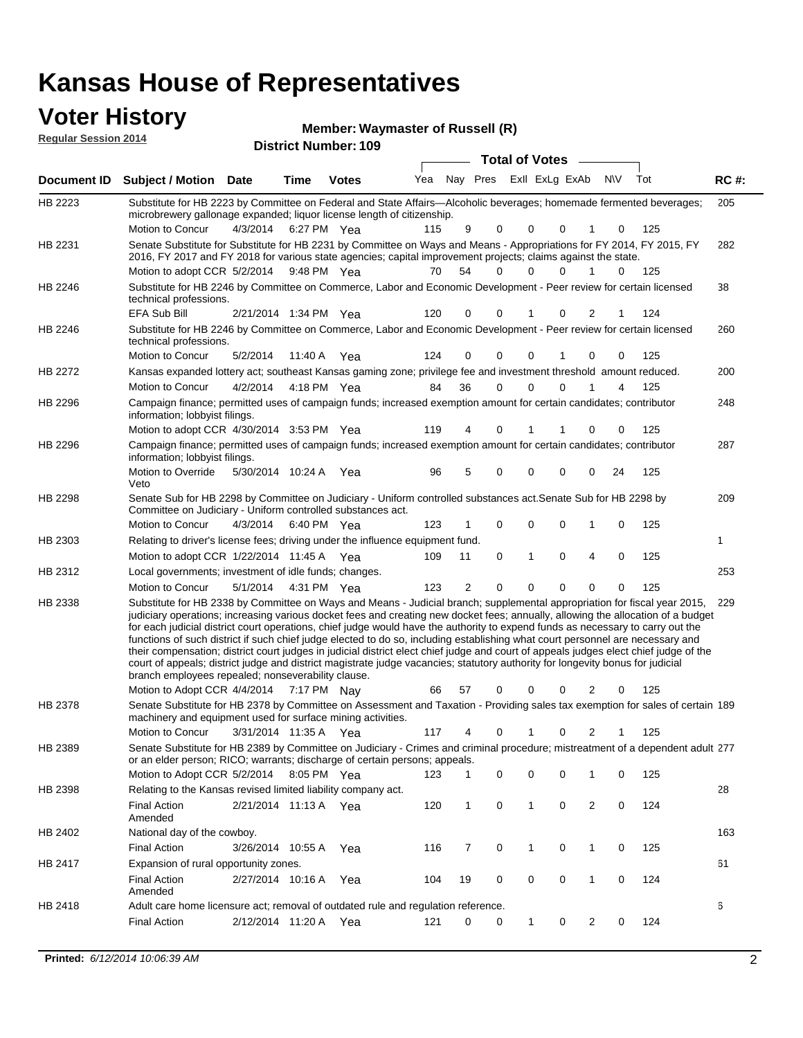### **Voter History**

**Regular Session 2014**

**Waymaster of Russell (R)**

| negurur ocssion zo i <del>⊣</del> |                                                                                                                                                                                                                                                                                                                                                                                                                                                                                                                                                                                                                                                                                                                                                                                                                                                                                                                 |                       |             |              |     |    |             |                       |                         |                      |     |             |
|-----------------------------------|-----------------------------------------------------------------------------------------------------------------------------------------------------------------------------------------------------------------------------------------------------------------------------------------------------------------------------------------------------------------------------------------------------------------------------------------------------------------------------------------------------------------------------------------------------------------------------------------------------------------------------------------------------------------------------------------------------------------------------------------------------------------------------------------------------------------------------------------------------------------------------------------------------------------|-----------------------|-------------|--------------|-----|----|-------------|-----------------------|-------------------------|----------------------|-----|-------------|
|                                   |                                                                                                                                                                                                                                                                                                                                                                                                                                                                                                                                                                                                                                                                                                                                                                                                                                                                                                                 |                       |             |              |     |    |             | <b>Total of Votes</b> |                         |                      |     |             |
| <b>Document ID</b>                | <b>Subject / Motion Date</b>                                                                                                                                                                                                                                                                                                                                                                                                                                                                                                                                                                                                                                                                                                                                                                                                                                                                                    |                       | <b>Time</b> | <b>Votes</b> | Yea |    |             |                       | Nay Pres ExII ExLg ExAb | <b>N\V</b>           | Tot | <b>RC#:</b> |
| HB 2223                           | Substitute for HB 2223 by Committee on Federal and State Affairs—Alcoholic beverages; homemade fermented beverages;<br>microbrewery gallonage expanded; liquor license length of citizenship.                                                                                                                                                                                                                                                                                                                                                                                                                                                                                                                                                                                                                                                                                                                   |                       |             |              |     |    |             |                       |                         |                      |     | 205         |
|                                   | Motion to Concur                                                                                                                                                                                                                                                                                                                                                                                                                                                                                                                                                                                                                                                                                                                                                                                                                                                                                                | 4/3/2014              |             | 6:27 PM Yea  | 115 | 9  | 0           | 0                     | 0                       | 0                    | 125 |             |
| HB 2231                           | Senate Substitute for Substitute for HB 2231 by Committee on Ways and Means - Appropriations for FY 2014, FY 2015, FY<br>2016, FY 2017 and FY 2018 for various state agencies; capital improvement projects; claims against the state.                                                                                                                                                                                                                                                                                                                                                                                                                                                                                                                                                                                                                                                                          |                       |             |              |     |    |             |                       |                         |                      |     | 282         |
|                                   | Motion to adopt CCR 5/2/2014 9:48 PM Yea                                                                                                                                                                                                                                                                                                                                                                                                                                                                                                                                                                                                                                                                                                                                                                                                                                                                        |                       |             |              | 70  | 54 | $\Omega$    | 0                     | 0                       | $\mathbf{1}$<br>0    | 125 |             |
| HB 2246                           | Substitute for HB 2246 by Committee on Commerce, Labor and Economic Development - Peer review for certain licensed<br>technical professions.                                                                                                                                                                                                                                                                                                                                                                                                                                                                                                                                                                                                                                                                                                                                                                    |                       |             |              |     |    |             |                       |                         |                      |     | 38          |
|                                   | <b>EFA Sub Bill</b>                                                                                                                                                                                                                                                                                                                                                                                                                                                                                                                                                                                                                                                                                                                                                                                                                                                                                             | 2/21/2014 1:34 PM Yea |             |              | 120 | 0  | 0           |                       | 0                       | 2<br>1               | 124 |             |
| HB 2246                           | Substitute for HB 2246 by Committee on Commerce, Labor and Economic Development - Peer review for certain licensed<br>technical professions.                                                                                                                                                                                                                                                                                                                                                                                                                                                                                                                                                                                                                                                                                                                                                                    |                       |             |              |     |    |             |                       |                         |                      |     | 260         |
|                                   | Motion to Concur                                                                                                                                                                                                                                                                                                                                                                                                                                                                                                                                                                                                                                                                                                                                                                                                                                                                                                | 5/2/2014              |             | 11:40 A Yea  | 124 | 0  | 0           | 0                     |                         | $\Omega$<br>0        | 125 |             |
| HB 2272                           | Kansas expanded lottery act; southeast Kansas gaming zone; privilege fee and investment threshold amount reduced.                                                                                                                                                                                                                                                                                                                                                                                                                                                                                                                                                                                                                                                                                                                                                                                               |                       |             |              |     |    |             |                       |                         |                      |     | 200         |
|                                   | Motion to Concur                                                                                                                                                                                                                                                                                                                                                                                                                                                                                                                                                                                                                                                                                                                                                                                                                                                                                                | 4/2/2014              |             | 4:18 PM Yea  | 84  | 36 | $\mathbf 0$ | 0                     | 0                       | 4                    | 125 |             |
| HB 2296                           | Campaign finance; permitted uses of campaign funds; increased exemption amount for certain candidates; contributor<br>information; lobbyist filings.                                                                                                                                                                                                                                                                                                                                                                                                                                                                                                                                                                                                                                                                                                                                                            |                       |             |              |     |    |             |                       |                         |                      |     | 248         |
|                                   | Motion to adopt CCR 4/30/2014 3:53 PM Yea                                                                                                                                                                                                                                                                                                                                                                                                                                                                                                                                                                                                                                                                                                                                                                                                                                                                       |                       |             |              | 119 | 4  | 0           | 1                     | 1                       | 0<br>0               | 125 |             |
| HB 2296                           | Campaign finance; permitted uses of campaign funds; increased exemption amount for certain candidates; contributor<br>information; lobbyist filings.                                                                                                                                                                                                                                                                                                                                                                                                                                                                                                                                                                                                                                                                                                                                                            |                       |             |              |     |    |             |                       |                         |                      |     | 287         |
|                                   | Motion to Override<br>Veto                                                                                                                                                                                                                                                                                                                                                                                                                                                                                                                                                                                                                                                                                                                                                                                                                                                                                      | 5/30/2014 10:24 A     |             | Yea          | 96  | 5  | 0           | 0                     | 0                       | 0<br>24              | 125 |             |
| HB 2298                           | Senate Sub for HB 2298 by Committee on Judiciary - Uniform controlled substances act. Senate Sub for HB 2298 by<br>Committee on Judiciary - Uniform controlled substances act.                                                                                                                                                                                                                                                                                                                                                                                                                                                                                                                                                                                                                                                                                                                                  |                       |             |              |     |    |             |                       |                         |                      |     | 209         |
|                                   | Motion to Concur                                                                                                                                                                                                                                                                                                                                                                                                                                                                                                                                                                                                                                                                                                                                                                                                                                                                                                | 4/3/2014              |             | 6:40 PM Yea  | 123 |    | $\mathbf 0$ | 0                     | 0                       | 0<br>1               | 125 |             |
| HB 2303                           | Relating to driver's license fees; driving under the influence equipment fund.                                                                                                                                                                                                                                                                                                                                                                                                                                                                                                                                                                                                                                                                                                                                                                                                                                  |                       |             |              |     |    |             |                       |                         |                      |     | 1           |
|                                   | Motion to adopt CCR 1/22/2014 11:45 A Yea                                                                                                                                                                                                                                                                                                                                                                                                                                                                                                                                                                                                                                                                                                                                                                                                                                                                       |                       |             |              | 109 | 11 | $\mathbf 0$ | $\mathbf{1}$          | $\mathbf 0$             | 4<br>0               | 125 |             |
| HB 2312                           | Local governments; investment of idle funds; changes.                                                                                                                                                                                                                                                                                                                                                                                                                                                                                                                                                                                                                                                                                                                                                                                                                                                           |                       |             |              |     |    |             |                       |                         |                      |     | 253         |
|                                   | Motion to Concur                                                                                                                                                                                                                                                                                                                                                                                                                                                                                                                                                                                                                                                                                                                                                                                                                                                                                                | 5/1/2014              |             | 4:31 PM Yea  | 123 | 2  | $\Omega$    | $\Omega$              | $\Omega$                | $\Omega$<br>$\Omega$ | 125 |             |
| HB 2338                           | Substitute for HB 2338 by Committee on Ways and Means - Judicial branch; supplemental appropriation for fiscal year 2015,<br>judiciary operations; increasing various docket fees and creating new docket fees; annually, allowing the allocation of a budget<br>for each judicial district court operations, chief judge would have the authority to expend funds as necessary to carry out the<br>functions of such district if such chief judge elected to do so, including establishing what court personnel are necessary and<br>their compensation; district court judges in judicial district elect chief judge and court of appeals judges elect chief judge of the<br>court of appeals; district judge and district magistrate judge vacancies; statutory authority for longevity bonus for judicial<br>branch employees repealed; nonseverability clause.<br>Motion to Adopt CCR 4/4/2014 7:17 PM Nay |                       |             |              | 66  | 57 | 0           | 0                     | 0                       | 2<br>0               | 125 | 229         |
| HB 2378                           | Senate Substitute for HB 2378 by Committee on Assessment and Taxation - Providing sales tax exemption for sales of certain 189                                                                                                                                                                                                                                                                                                                                                                                                                                                                                                                                                                                                                                                                                                                                                                                  |                       |             |              |     |    |             |                       |                         |                      |     |             |
|                                   | machinery and equipment used for surface mining activities.                                                                                                                                                                                                                                                                                                                                                                                                                                                                                                                                                                                                                                                                                                                                                                                                                                                     |                       |             |              |     |    |             |                       |                         |                      |     |             |
|                                   | Motion to Concur                                                                                                                                                                                                                                                                                                                                                                                                                                                                                                                                                                                                                                                                                                                                                                                                                                                                                                | 3/31/2014 11:35 A     |             | Yea          | 117 | 4  | 0           | 1                     | 0                       | 2                    | 125 |             |
| HB 2389                           | Senate Substitute for HB 2389 by Committee on Judiciary - Crimes and criminal procedure; mistreatment of a dependent adult 277<br>or an elder person; RICO; warrants; discharge of certain persons; appeals.<br>Motion to Adopt CCR 5/2/2014 8:05 PM Yea                                                                                                                                                                                                                                                                                                                                                                                                                                                                                                                                                                                                                                                        |                       |             |              | 123 | 1  | 0           | 0                     | 0                       | 0<br>1               | 125 |             |
| HB 2398                           | Relating to the Kansas revised limited liability company act.                                                                                                                                                                                                                                                                                                                                                                                                                                                                                                                                                                                                                                                                                                                                                                                                                                                   |                       |             |              |     |    |             |                       |                         |                      |     | 28          |
|                                   | <b>Final Action</b><br>Amended                                                                                                                                                                                                                                                                                                                                                                                                                                                                                                                                                                                                                                                                                                                                                                                                                                                                                  | 2/21/2014 11:13 A Yea |             |              | 120 | 1  | 0           | 1                     | 0                       | 2<br>0               | 124 |             |
| HB 2402                           | National day of the cowboy.                                                                                                                                                                                                                                                                                                                                                                                                                                                                                                                                                                                                                                                                                                                                                                                                                                                                                     |                       |             |              |     |    |             |                       |                         |                      |     | 163         |
|                                   | <b>Final Action</b>                                                                                                                                                                                                                                                                                                                                                                                                                                                                                                                                                                                                                                                                                                                                                                                                                                                                                             | 3/26/2014 10:55 A     |             | Yea          | 116 | 7  | 0           | $\mathbf{1}$          | 0                       | 0<br>$\mathbf 1$     | 125 |             |
| HB 2417                           | Expansion of rural opportunity zones.                                                                                                                                                                                                                                                                                                                                                                                                                                                                                                                                                                                                                                                                                                                                                                                                                                                                           |                       |             |              |     |    |             |                       |                         |                      |     | 61          |
|                                   | <b>Final Action</b><br>Amended                                                                                                                                                                                                                                                                                                                                                                                                                                                                                                                                                                                                                                                                                                                                                                                                                                                                                  | 2/27/2014 10:16 A     |             | Yea          | 104 | 19 | 0           | 0                     | 0                       | 0<br>$\mathbf 1$     | 124 |             |
| HB 2418                           | Adult care home licensure act; removal of outdated rule and regulation reference.                                                                                                                                                                                                                                                                                                                                                                                                                                                                                                                                                                                                                                                                                                                                                                                                                               |                       |             |              |     |    |             |                       |                         |                      |     | 6           |
|                                   | <b>Final Action</b>                                                                                                                                                                                                                                                                                                                                                                                                                                                                                                                                                                                                                                                                                                                                                                                                                                                                                             | 2/12/2014 11:20 A     |             | Yea          | 121 | 0  | 0           | 1                     | 0                       | $\overline{2}$<br>0  | 124 |             |
|                                   |                                                                                                                                                                                                                                                                                                                                                                                                                                                                                                                                                                                                                                                                                                                                                                                                                                                                                                                 |                       |             |              |     |    |             |                       |                         |                      |     |             |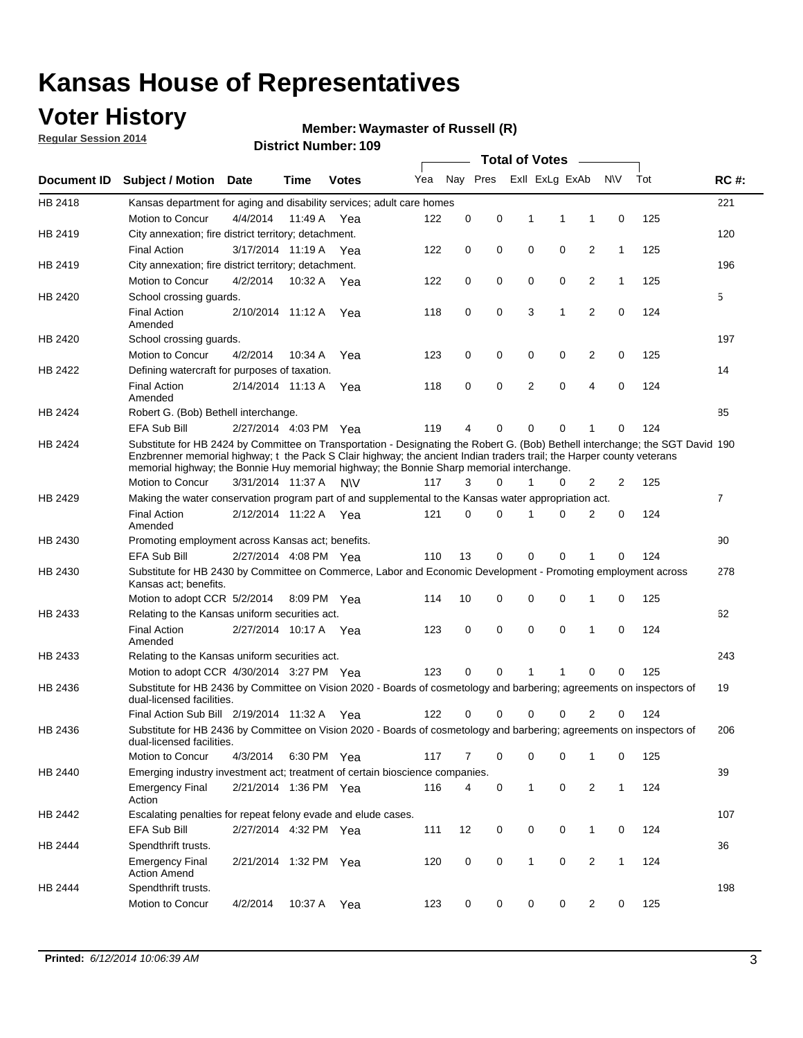## **Voter History**

**Regular Session 2014**

#### **Waymaster of Russell (R)**

|                    |                                                                                                                                                                                                                                                                                                                                                      |                       |             | <b>DISTRICT MAILINGL' 109</b> |     |          |          |              | Total of Votes –        |                |                |     |                |
|--------------------|------------------------------------------------------------------------------------------------------------------------------------------------------------------------------------------------------------------------------------------------------------------------------------------------------------------------------------------------------|-----------------------|-------------|-------------------------------|-----|----------|----------|--------------|-------------------------|----------------|----------------|-----|----------------|
| <b>Document ID</b> | <b>Subject / Motion</b>                                                                                                                                                                                                                                                                                                                              | Date                  | Time        | <b>Votes</b>                  | Yea |          |          |              | Nay Pres ExII ExLg ExAb |                | <b>NV</b>      | Tot | <b>RC#:</b>    |
| HB 2418            | Kansas department for aging and disability services; adult care homes                                                                                                                                                                                                                                                                                |                       |             |                               |     |          |          |              |                         |                |                |     | 221            |
|                    | Motion to Concur                                                                                                                                                                                                                                                                                                                                     | 4/4/2014              | 11:49 A     | Yea                           | 122 | 0        | 0        | 1            | 1                       | 1              | 0              | 125 |                |
| HB 2419            | City annexation; fire district territory; detachment.                                                                                                                                                                                                                                                                                                |                       |             |                               |     |          |          |              |                         |                |                |     | 120            |
|                    | <b>Final Action</b>                                                                                                                                                                                                                                                                                                                                  | 3/17/2014 11:19 A     |             | Yea                           | 122 | 0        | 0        | 0            | 0                       | 2              | 1              | 125 |                |
| HB 2419            | City annexation; fire district territory; detachment.                                                                                                                                                                                                                                                                                                |                       |             |                               |     |          |          |              |                         |                |                |     | 196            |
|                    | Motion to Concur                                                                                                                                                                                                                                                                                                                                     | 4/2/2014              | 10:32 A     | Yea                           | 122 | 0        | 0        | 0            | 0                       | 2              | $\mathbf{1}$   | 125 |                |
| HB 2420            | School crossing guards.                                                                                                                                                                                                                                                                                                                              |                       |             |                               |     |          |          |              |                         |                |                |     | 5              |
|                    | <b>Final Action</b><br>Amended                                                                                                                                                                                                                                                                                                                       | 2/10/2014 11:12 A     |             | Yea                           | 118 | 0        | 0        | 3            | 1                       | $\overline{2}$ | 0              | 124 |                |
| HB 2420            | School crossing guards.                                                                                                                                                                                                                                                                                                                              |                       |             |                               |     |          |          |              |                         |                |                |     | 197            |
|                    | Motion to Concur                                                                                                                                                                                                                                                                                                                                     | 4/2/2014              | 10:34 A     | Yea                           | 123 | 0        | 0        | 0            | 0                       | 2              | 0              | 125 |                |
| HB 2422            | Defining watercraft for purposes of taxation.                                                                                                                                                                                                                                                                                                        |                       |             |                               |     |          |          |              |                         |                |                |     | 14             |
|                    | <b>Final Action</b><br>Amended                                                                                                                                                                                                                                                                                                                       | 2/14/2014 11:13 A     |             | Yea                           | 118 | 0        | 0        | 2            | 0                       | 4              | 0              | 124 |                |
| HB 2424            | Robert G. (Bob) Bethell interchange.                                                                                                                                                                                                                                                                                                                 |                       |             |                               |     |          |          |              |                         |                |                |     | 85             |
|                    | EFA Sub Bill                                                                                                                                                                                                                                                                                                                                         | 2/27/2014 4:03 PM Yea |             |                               | 119 | 4        | 0        | 0            | 0                       | 1              | 0              | 124 |                |
| HB 2424            | Substitute for HB 2424 by Committee on Transportation - Designating the Robert G. (Bob) Bethell interchange; the SGT David 190<br>Enzbrenner memorial highway; t the Pack S Clair highway; the ancient Indian traders trail; the Harper county veterans<br>memorial highway; the Bonnie Huy memorial highway; the Bonnie Sharp memorial interchange. |                       |             |                               |     |          |          |              |                         |                |                |     |                |
|                    | Motion to Concur                                                                                                                                                                                                                                                                                                                                     | 3/31/2014 11:37 A     |             | N\V                           | 117 | 3        | $\Omega$ | 1            | 0                       | 2              | $\overline{2}$ | 125 |                |
| HB 2429            | Making the water conservation program part of and supplemental to the Kansas water appropriation act.                                                                                                                                                                                                                                                |                       |             |                               |     |          |          |              |                         |                |                |     | $\overline{7}$ |
|                    | <b>Final Action</b><br>Amended                                                                                                                                                                                                                                                                                                                       | 2/12/2014 11:22 A Yea |             |                               | 121 | $\Omega$ | 0        | 1            | 0                       | 2              | 0              | 124 |                |
| HB 2430            | Promoting employment across Kansas act; benefits.                                                                                                                                                                                                                                                                                                    |                       |             |                               |     |          |          |              |                         |                |                |     | 90             |
|                    | <b>EFA Sub Bill</b>                                                                                                                                                                                                                                                                                                                                  | 2/27/2014 4:08 PM Yea |             |                               | 110 | 13       | 0        | 0            | 0                       |                | 0              | 124 |                |
| HB 2430            | Substitute for HB 2430 by Committee on Commerce, Labor and Economic Development - Promoting employment across<br>Kansas act; benefits.                                                                                                                                                                                                               |                       |             |                               |     |          |          |              |                         |                |                |     | 278            |
|                    | Motion to adopt CCR 5/2/2014                                                                                                                                                                                                                                                                                                                         |                       | 8:09 PM Yea |                               | 114 | 10       | 0        | 0            | 0                       | 1              | 0              | 125 |                |
| HB 2433            | Relating to the Kansas uniform securities act.                                                                                                                                                                                                                                                                                                       |                       |             |                               |     |          |          |              |                         |                |                |     | 62             |
|                    | <b>Final Action</b><br>Amended                                                                                                                                                                                                                                                                                                                       | 2/27/2014 10:17 A Yea |             |                               | 123 | 0        | 0        | $\mathbf 0$  | 0                       | 1              | $\mathbf 0$    | 124 |                |
| HB 2433            | Relating to the Kansas uniform securities act.                                                                                                                                                                                                                                                                                                       |                       |             |                               |     |          |          |              |                         |                |                |     | 243            |
|                    | Motion to adopt CCR 4/30/2014 3:27 PM Yea                                                                                                                                                                                                                                                                                                            |                       |             |                               | 123 | $\Omega$ | $\Omega$ | 1            | 1                       | 0              | 0              | 125 |                |
| HB 2436            | Substitute for HB 2436 by Committee on Vision 2020 - Boards of cosmetology and barbering; agreements on inspectors of<br>dual-licensed facilities.                                                                                                                                                                                                   |                       |             |                               |     |          |          |              |                         |                |                |     | 19             |
|                    | Final Action Sub Bill 2/19/2014 11:32 A                                                                                                                                                                                                                                                                                                              |                       |             | Yea                           | 122 |          | 0        | 0            | 0                       | 2              | 0              | 124 |                |
| HB 2436            | Substitute for HB 2436 by Committee on Vision 2020 - Boards of cosmetology and barbering; agreements on inspectors of<br>dual-licensed facilities.                                                                                                                                                                                                   |                       |             |                               |     |          |          |              |                         |                |                |     | 206            |
|                    | Motion to Concur                                                                                                                                                                                                                                                                                                                                     | 4/3/2014              | 6:30 PM Yea |                               | 117 | 7        | 0        | 0            | 0                       | 1              | 0              | 125 |                |
| HB 2440            | Emerging industry investment act; treatment of certain bioscience companies.                                                                                                                                                                                                                                                                         |                       |             |                               |     |          |          |              |                         |                |                |     | 39             |
|                    | <b>Emergency Final</b><br>Action                                                                                                                                                                                                                                                                                                                     | 2/21/2014 1:36 PM Yea |             |                               | 116 | 4        | 0        | 1            | $\mathbf 0$             | $\overline{2}$ | $\mathbf{1}$   | 124 |                |
| HB 2442            | Escalating penalties for repeat felony evade and elude cases.                                                                                                                                                                                                                                                                                        |                       |             |                               |     |          |          |              |                         |                |                |     | 107            |
|                    | EFA Sub Bill                                                                                                                                                                                                                                                                                                                                         | 2/27/2014 4:32 PM Yea |             |                               | 111 | 12       | 0        | 0            | 0                       | $\mathbf{1}$   | 0              | 124 |                |
| HB 2444            | Spendthrift trusts.                                                                                                                                                                                                                                                                                                                                  |                       |             |                               |     |          |          |              |                         |                |                |     | 36             |
|                    | <b>Emergency Final</b><br><b>Action Amend</b>                                                                                                                                                                                                                                                                                                        | 2/21/2014 1:32 PM Yea |             |                               | 120 | 0        | 0        | $\mathbf{1}$ | 0                       | $\overline{c}$ | $\mathbf{1}$   | 124 |                |
| HB 2444            | Spendthrift trusts.                                                                                                                                                                                                                                                                                                                                  |                       |             |                               |     |          |          |              |                         |                |                |     | 198            |
|                    | Motion to Concur                                                                                                                                                                                                                                                                                                                                     | 4/2/2014              |             | 10:37 A Yea                   | 123 | 0        | 0        | 0            | 0                       | $\overline{2}$ | 0              | 125 |                |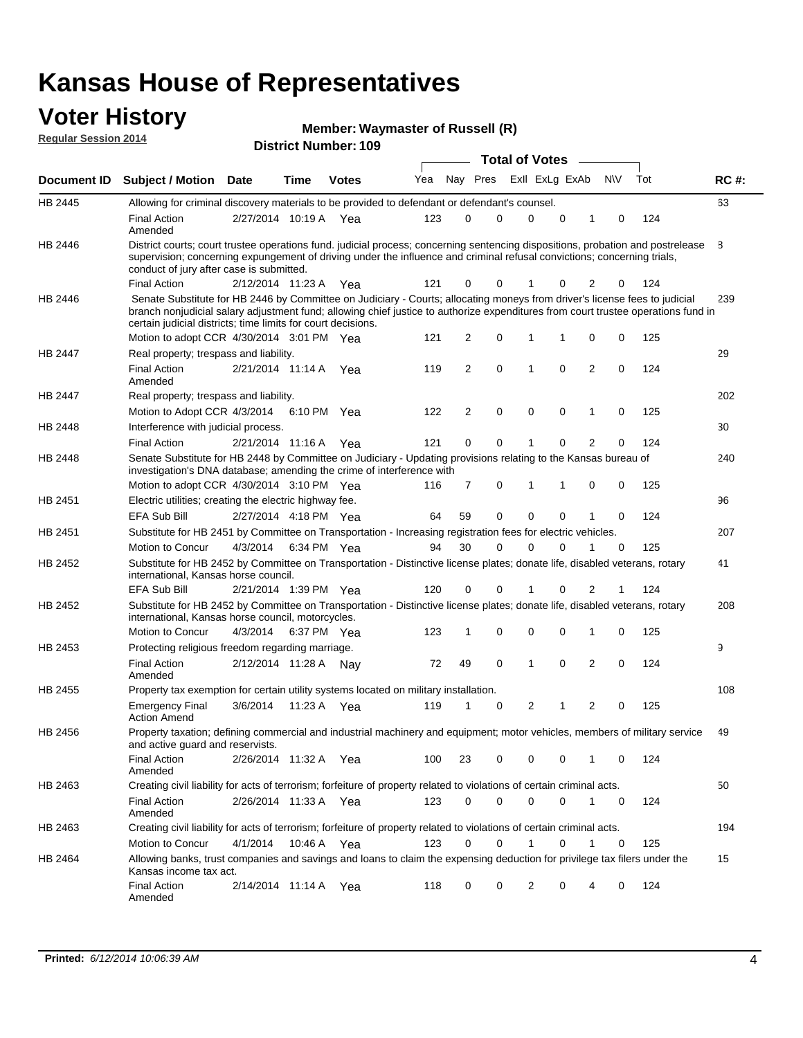#### **Voter History Regular Session 2014**

| Member: Waymaster of Russell (R) |  |
|----------------------------------|--|
|----------------------------------|--|

|                |                                                                                                                                                                                                                                                                                                                                 |                       |      |             |     |    |             | <b>Total of Votes</b> |   |                |           |     |             |
|----------------|---------------------------------------------------------------------------------------------------------------------------------------------------------------------------------------------------------------------------------------------------------------------------------------------------------------------------------|-----------------------|------|-------------|-----|----|-------------|-----------------------|---|----------------|-----------|-----|-------------|
|                | Document ID Subject / Motion Date                                                                                                                                                                                                                                                                                               |                       | Time | Votes       | Yea |    | Nay Pres    | Exll ExLg ExAb        |   |                | <b>NV</b> | Tot | <b>RC#:</b> |
| HB 2445        | Allowing for criminal discovery materials to be provided to defendant or defendant's counsel.                                                                                                                                                                                                                                   |                       |      |             |     |    |             |                       |   |                |           |     | 63          |
|                | <b>Final Action</b><br>Amended                                                                                                                                                                                                                                                                                                  | 2/27/2014 10:19 A Yea |      |             | 123 | 0  | 0           | 0                     | 0 | 1              | 0         | 124 |             |
| HB 2446        | District courts; court trustee operations fund. judicial process; concerning sentencing dispositions, probation and postrelease<br>supervision; concerning expungement of driving under the influence and criminal refusal convictions; concerning trials,<br>conduct of jury after case is submitted.                          |                       |      |             |     |    |             |                       |   |                |           |     | 8           |
|                | <b>Final Action</b>                                                                                                                                                                                                                                                                                                             | 2/12/2014 11:23 A Yea |      |             | 121 | 0  | 0           |                       | 0 | 2              | 0         | 124 |             |
| HB 2446        | Senate Substitute for HB 2446 by Committee on Judiciary - Courts; allocating moneys from driver's license fees to judicial<br>branch nonjudicial salary adjustment fund; allowing chief justice to authorize expenditures from court trustee operations fund in<br>certain judicial districts; time limits for court decisions. |                       |      |             |     |    |             |                       |   |                |           |     | 239         |
|                | Motion to adopt CCR 4/30/2014 3:01 PM Yea                                                                                                                                                                                                                                                                                       |                       |      |             | 121 | 2  | 0           | 1                     | 1 | 0              | 0         | 125 |             |
| <b>HB 2447</b> | Real property; trespass and liability.                                                                                                                                                                                                                                                                                          |                       |      |             |     |    |             |                       |   |                |           |     | 29          |
|                | <b>Final Action</b><br>Amended                                                                                                                                                                                                                                                                                                  | 2/21/2014 11:14 A Yea |      |             | 119 | 2  | $\mathbf 0$ | $\mathbf{1}$          | 0 | 2              | 0         | 124 |             |
| HB 2447        | Real property; trespass and liability.                                                                                                                                                                                                                                                                                          |                       |      |             |     |    |             |                       |   |                |           |     | 202         |
|                | Motion to Adopt CCR 4/3/2014 6:10 PM Yea                                                                                                                                                                                                                                                                                        |                       |      |             | 122 | 2  | 0           | 0                     | 0 | 1              | 0         | 125 |             |
| HB 2448        | Interference with judicial process.                                                                                                                                                                                                                                                                                             |                       |      |             |     |    |             |                       |   |                |           |     | 30          |
|                | <b>Final Action</b>                                                                                                                                                                                                                                                                                                             | 2/21/2014 11:16 A Yea |      |             | 121 | 0  | 0           | 1                     | 0 | 2              | 0         | 124 |             |
| HB 2448        | Senate Substitute for HB 2448 by Committee on Judiciary - Updating provisions relating to the Kansas bureau of<br>investigation's DNA database; amending the crime of interference with                                                                                                                                         |                       |      |             |     |    |             |                       |   |                |           |     | 240         |
|                | Motion to adopt CCR 4/30/2014 3:10 PM Yea                                                                                                                                                                                                                                                                                       |                       |      |             | 116 | 7  | 0           | $\mathbf 1$           | 1 | 0              | 0         | 125 |             |
| HB 2451        | Electric utilities; creating the electric highway fee.                                                                                                                                                                                                                                                                          |                       |      |             |     |    |             |                       |   |                |           |     | 96          |
|                | <b>EFA Sub Bill</b>                                                                                                                                                                                                                                                                                                             | 2/27/2014 4:18 PM Yea |      |             | 64  | 59 | 0           | 0                     | 0 | 1              | 0         | 124 |             |
| HB 2451        | Substitute for HB 2451 by Committee on Transportation - Increasing registration fees for electric vehicles.                                                                                                                                                                                                                     |                       |      |             |     |    |             |                       |   |                |           |     | 207         |
|                | Motion to Concur                                                                                                                                                                                                                                                                                                                | 4/3/2014              |      | 6:34 PM Yea | 94  | 30 | 0           | $\Omega$              | 0 | 1              | 0         | 125 |             |
| HB 2452        | Substitute for HB 2452 by Committee on Transportation - Distinctive license plates; donate life, disabled veterans, rotary<br>international, Kansas horse council.                                                                                                                                                              |                       |      |             |     |    |             |                       |   |                |           |     | 41          |
|                | EFA Sub Bill                                                                                                                                                                                                                                                                                                                    | 2/21/2014 1:39 PM Yea |      |             | 120 | 0  | 0           |                       | 0 | 2              | 1         | 124 |             |
| HB 2452        | Substitute for HB 2452 by Committee on Transportation - Distinctive license plates; donate life, disabled veterans, rotary<br>international, Kansas horse council, motorcycles.                                                                                                                                                 |                       |      |             |     |    |             |                       |   |                |           |     | 208         |
|                | Motion to Concur                                                                                                                                                                                                                                                                                                                | 4/3/2014              |      | 6:37 PM Yea | 123 | 1  | 0           | $\mathbf 0$           | 0 | 1              | 0         | 125 |             |
| HB 2453        | Protecting religious freedom regarding marriage.                                                                                                                                                                                                                                                                                |                       |      |             |     |    |             |                       |   |                |           |     | 9           |
|                | <b>Final Action</b><br>Amended                                                                                                                                                                                                                                                                                                  | 2/12/2014 11:28 A Nay |      |             | 72  | 49 | 0           | $\mathbf{1}$          | 0 | $\overline{2}$ | 0         | 124 |             |
| HB 2455        | Property tax exemption for certain utility systems located on military installation.                                                                                                                                                                                                                                            |                       |      |             |     |    |             |                       |   |                |           |     | 108         |
|                | <b>Emergency Final</b><br><b>Action Amend</b>                                                                                                                                                                                                                                                                                   | 3/6/2014              |      | 11:23 A Yea | 119 | 1  | 0           | 2                     | 1 | 2              | 0         | 125 |             |
| HB 2456        | Property taxation; defining commercial and industrial machinery and equipment; motor vehicles, members of military service<br>and active guard and reservists.                                                                                                                                                                  |                       |      |             |     |    |             |                       |   |                |           |     | 49          |
|                | <b>Final Action</b><br>Amended                                                                                                                                                                                                                                                                                                  | 2/26/2014 11:32 A Yea |      |             | 100 | 23 | 0           | 0                     | 0 | 1              | 0         | 124 |             |
| HB 2463        | Creating civil liability for acts of terrorism; forfeiture of property related to violations of certain criminal acts.                                                                                                                                                                                                          |                       |      |             |     |    |             |                       |   |                |           |     | 50          |
|                | <b>Final Action</b><br>Amended                                                                                                                                                                                                                                                                                                  | 2/26/2014 11:33 A Yea |      |             | 123 | 0  | 0           | 0                     | 0 | $\mathbf{1}$   | 0         | 124 |             |
| HB 2463        | Creating civil liability for acts of terrorism; forfeiture of property related to violations of certain criminal acts.                                                                                                                                                                                                          |                       |      |             |     |    |             |                       |   |                |           |     | 194         |
|                | Motion to Concur                                                                                                                                                                                                                                                                                                                | 4/1/2014              |      | 10:46 A Yea | 123 | 0  | 0           | $\mathbf{1}$          | 0 | 1              | 0         | 125 |             |
| HB 2464        | Allowing banks, trust companies and savings and loans to claim the expensing deduction for privilege tax filers under the<br>Kansas income tax act.                                                                                                                                                                             |                       |      |             |     |    |             |                       |   |                |           |     | 15          |
|                | <b>Final Action</b><br>Amended                                                                                                                                                                                                                                                                                                  | 2/14/2014 11:14 A Yea |      |             | 118 | 0  | 0           | 2                     | 0 | 4              | 0         | 124 |             |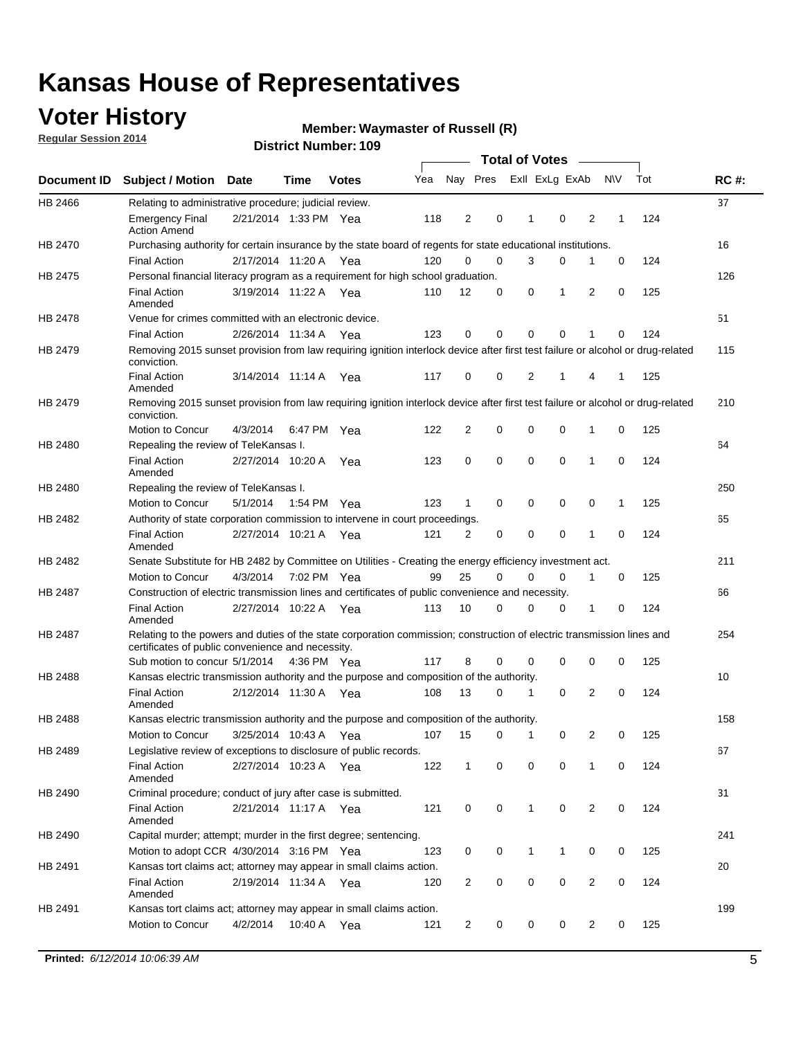## **Voter History**

**Regular Session 2014**

#### **Waymaster of Russell (R)**

|                | <b>Total of Votes</b>                                                                                                                                                       |                       |      |              |     |                |             |              |                |                |           |     |             |
|----------------|-----------------------------------------------------------------------------------------------------------------------------------------------------------------------------|-----------------------|------|--------------|-----|----------------|-------------|--------------|----------------|----------------|-----------|-----|-------------|
|                | Document ID Subject / Motion                                                                                                                                                | <b>Date</b>           | Time | <b>Votes</b> | Yea | Nay Pres       |             |              | Exll ExLg ExAb |                | <b>NV</b> | Tot | <b>RC#:</b> |
| HB 2466        | Relating to administrative procedure; judicial review.                                                                                                                      |                       |      |              |     |                |             |              |                |                |           |     | 37          |
|                | <b>Emergency Final</b><br><b>Action Amend</b>                                                                                                                               | 2/21/2014 1:33 PM Yea |      |              | 118 | 2              | 0           | 1            | $\mathbf 0$    | 2              | 1         | 124 |             |
| HB 2470        | Purchasing authority for certain insurance by the state board of regents for state educational institutions.                                                                |                       |      |              |     |                |             |              |                |                |           |     | 16          |
|                | <b>Final Action</b>                                                                                                                                                         | 2/17/2014 11:20 A Yea |      |              | 120 | $\mathbf 0$    | $\mathbf 0$ | 3            | 0              | 1              | 0         | 124 |             |
| HB 2475        | Personal financial literacy program as a requirement for high school graduation.                                                                                            |                       |      |              |     |                |             |              |                |                |           |     | 126         |
|                | <b>Final Action</b><br>Amended                                                                                                                                              | 3/19/2014 11:22 A Yea |      |              | 110 | 12             | 0           | 0            | 1              | 2              | 0         | 125 |             |
| HB 2478        | Venue for crimes committed with an electronic device.                                                                                                                       |                       |      |              |     |                |             |              |                |                |           |     | 51          |
|                | <b>Final Action</b>                                                                                                                                                         | 2/26/2014 11:34 A     |      | Yea          | 123 | 0              | 0           | $\mathbf 0$  | $\mathbf 0$    | 1              | 0         | 124 |             |
| HB 2479        | Removing 2015 sunset provision from law requiring ignition interlock device after first test failure or alcohol or drug-related<br>conviction.                              |                       |      |              |     |                |             |              |                |                |           |     | 115         |
|                | <b>Final Action</b><br>Amended                                                                                                                                              | 3/14/2014 11:14 A     |      | Yea          | 117 | $\mathbf 0$    | 0           | 2            | 1              | 4              | 1         | 125 |             |
| HB 2479        | Removing 2015 sunset provision from law requiring ignition interlock device after first test failure or alcohol or drug-related<br>conviction.                              |                       |      |              |     |                |             |              |                |                |           |     | 210         |
|                | Motion to Concur                                                                                                                                                            | 4/3/2014              |      | 6:47 PM Yea  | 122 | $\overline{2}$ | 0           | 0            | $\mathbf 0$    | 1              | 0         | 125 |             |
| HB 2480        | Repealing the review of TeleKansas I.                                                                                                                                       |                       |      |              |     |                |             |              |                |                |           |     | 64          |
|                | <b>Final Action</b><br>Amended                                                                                                                                              | 2/27/2014 10:20 A     |      | Yea          | 123 | 0              | $\mathbf 0$ | $\mathbf 0$  | $\mathbf 0$    | 1              | 0         | 124 |             |
| HB 2480        | Repealing the review of TeleKansas I.                                                                                                                                       |                       |      |              |     |                |             |              |                |                |           |     | 250         |
|                | Motion to Concur                                                                                                                                                            | 5/1/2014              |      | 1:54 PM Yea  | 123 | 1              | 0           | 0            | 0              | 0              | 1         | 125 |             |
| HB 2482        | Authority of state corporation commission to intervene in court proceedings.                                                                                                |                       |      |              |     |                |             |              |                |                |           |     | 65          |
|                | <b>Final Action</b><br>Amended                                                                                                                                              | 2/27/2014 10:21 A     |      | Yea          | 121 | 2              | 0           | $\mathbf 0$  | $\mathbf 0$    | 1              | 0         | 124 |             |
| HB 2482        | Senate Substitute for HB 2482 by Committee on Utilities - Creating the energy efficiency investment act.                                                                    |                       |      |              |     |                |             |              |                |                |           |     | 211         |
|                | Motion to Concur                                                                                                                                                            | 4/3/2014 7:02 PM Yea  |      |              | 99  | 25             | $\Omega$    | 0            | $\mathbf 0$    | 1              | 0         | 125 |             |
| <b>HB 2487</b> | Construction of electric transmission lines and certificates of public convenience and necessity.                                                                           |                       |      |              |     |                |             |              |                |                |           |     | 66          |
|                | <b>Final Action</b><br>Amended                                                                                                                                              | 2/27/2014 10:22 A Yea |      |              | 113 | 10             | 0           | $\mathbf 0$  | 0              | 1              | 0         | 124 |             |
| HB 2487        | Relating to the powers and duties of the state corporation commission; construction of electric transmission lines and<br>certificates of public convenience and necessity. |                       |      |              |     |                |             |              |                |                |           |     | 254         |
|                | Sub motion to concur 5/1/2014                                                                                                                                               |                       |      | 4:36 PM Yea  | 117 | 8              | 0           | 0            | 0              | 0              | 0         | 125 |             |
| <b>HB 2488</b> | Kansas electric transmission authority and the purpose and composition of the authority.                                                                                    |                       |      |              |     |                |             |              |                |                |           |     | 10          |
|                | <b>Final Action</b><br>Amended                                                                                                                                              | 2/12/2014 11:30 A     |      | Yea          | 108 | 13             | 0           | 1            | $\mathbf 0$    | 2              | 0         | 124 |             |
| <b>HB 2488</b> | Kansas electric transmission authority and the purpose and composition of the authority.                                                                                    |                       |      |              |     |                |             |              |                |                |           |     | 158         |
|                | Motion to Concur                                                                                                                                                            | 3/25/2014 10:43 A     |      | Yea          | 107 | 15             | 0           | $\mathbf 1$  | 0              | 2              | 0         | 125 |             |
| HB 2489        | Legislative review of exceptions to disclosure of public records.                                                                                                           |                       |      |              |     |                |             |              |                |                |           |     | 67          |
|                | <b>Final Action</b><br>Amended                                                                                                                                              | 2/27/2014 10:23 A Yea |      |              | 122 | $\mathbf{1}$   | 0           | 0            | 0              | 1              | 0         | 124 |             |
| HB 2490        | Criminal procedure; conduct of jury after case is submitted.                                                                                                                |                       |      |              |     |                |             |              |                |                |           |     | 31          |
|                | <b>Final Action</b><br>Amended                                                                                                                                              | 2/21/2014 11:17 A Yea |      |              | 121 | 0              | 0           | $\mathbf{1}$ | $\mathbf 0$    | 2              | 0         | 124 |             |
| HB 2490        | Capital murder; attempt; murder in the first degree; sentencing.                                                                                                            |                       |      |              |     |                |             |              |                |                |           |     | 241         |
|                | Motion to adopt CCR 4/30/2014 3:16 PM Yea                                                                                                                                   |                       |      |              | 123 | 0              | 0           | 1            | 1              | 0              | 0         | 125 |             |
| HB 2491        | Kansas tort claims act; attorney may appear in small claims action.                                                                                                         |                       |      |              |     |                |             |              |                |                |           |     | 20          |
|                | <b>Final Action</b><br>Amended                                                                                                                                              | 2/19/2014 11:34 A Yea |      |              | 120 | $\overline{c}$ | 0           | 0            | 0              | 2              | 0         | 124 |             |
| HB 2491        | Kansas tort claims act; attorney may appear in small claims action.                                                                                                         |                       |      |              |     |                |             |              |                |                |           |     | 199         |
|                | Motion to Concur                                                                                                                                                            | 4/2/2014              |      | 10:40 A Yea  | 121 | $\overline{c}$ | 0           | 0            | 0              | $\overline{2}$ | 0         | 125 |             |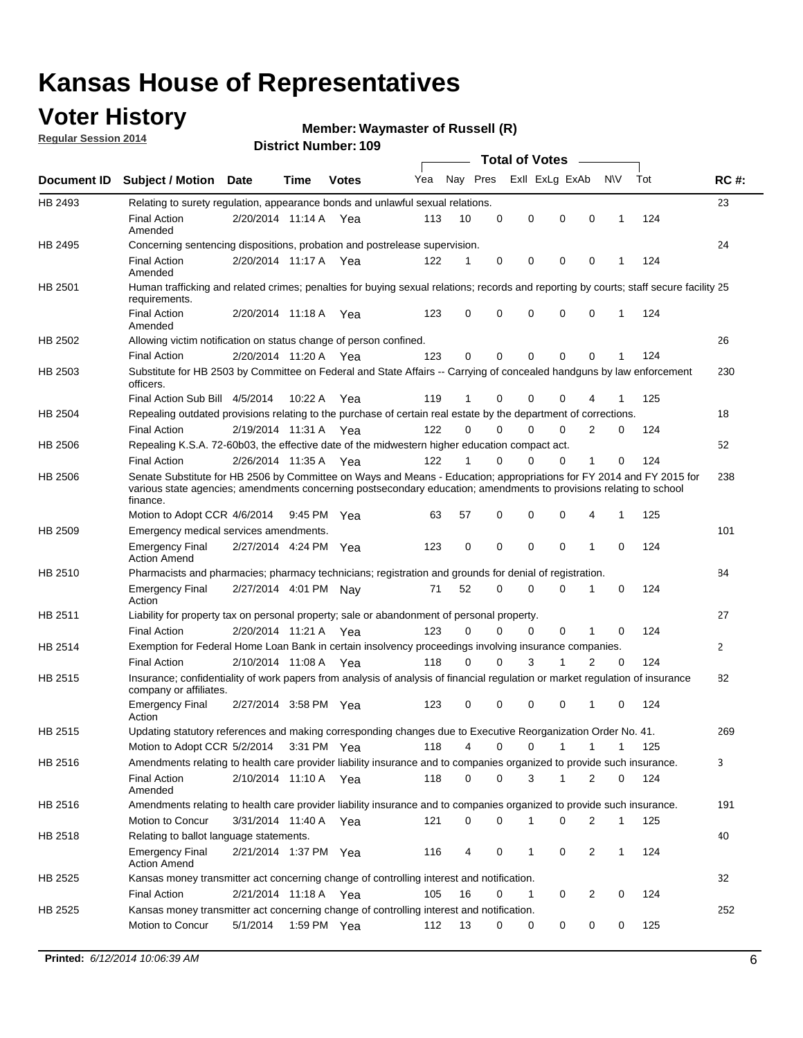## **Voter History**

**Regular Session 2014**

#### **Waymaster of Russell (R)**

|             |                                                                                                                                                                                                                                                        |                       |             | <b>DISTICI MUILIDEL I 109</b> |     |          |          | Total of Votes –            |                |              |     |              |
|-------------|--------------------------------------------------------------------------------------------------------------------------------------------------------------------------------------------------------------------------------------------------------|-----------------------|-------------|-------------------------------|-----|----------|----------|-----------------------------|----------------|--------------|-----|--------------|
| Document ID | <b>Subject / Motion Date</b>                                                                                                                                                                                                                           |                       | <b>Time</b> | <b>Votes</b>                  | Yea | Nay Pres |          | Exll ExLg ExAb              |                | N\V          | Tot | <b>RC#:</b>  |
| HB 2493     | Relating to surety regulation, appearance bonds and unlawful sexual relations.                                                                                                                                                                         |                       |             |                               |     |          |          |                             |                |              |     | 23           |
|             | <b>Final Action</b><br>Amended                                                                                                                                                                                                                         | 2/20/2014 11:14 A Yea |             |                               | 113 | 10       | 0        | 0<br>$\mathbf 0$            | $\mathbf 0$    | $\mathbf 1$  | 124 |              |
| HB 2495     | Concerning sentencing dispositions, probation and postrelease supervision.                                                                                                                                                                             |                       |             |                               |     |          |          |                             |                |              |     | 24           |
|             | <b>Final Action</b><br>Amended                                                                                                                                                                                                                         | 2/20/2014 11:17 A     |             | Yea                           | 122 | 1        | 0        | 0<br>0                      | $\mathbf 0$    | 1            | 124 |              |
| HB 2501     | Human trafficking and related crimes; penalties for buying sexual relations; records and reporting by courts; staff secure facility 25<br>requirements.                                                                                                |                       |             |                               |     |          |          |                             |                |              |     |              |
|             | <b>Final Action</b><br>Amended                                                                                                                                                                                                                         | 2/20/2014 11:18 A Yea |             |                               | 123 | 0        | 0        | 0<br>0                      | $\mathbf 0$    | 1            | 124 |              |
| HB 2502     | Allowing victim notification on status change of person confined.                                                                                                                                                                                      |                       |             |                               |     |          |          |                             |                |              |     | 26           |
|             | <b>Final Action</b>                                                                                                                                                                                                                                    | 2/20/2014 11:20 A Yea |             |                               | 123 | 0        | 0        | 0<br>0                      | $\mathbf 0$    |              | 124 |              |
| HB 2503     | Substitute for HB 2503 by Committee on Federal and State Affairs -- Carrying of concealed handguns by law enforcement<br>officers.                                                                                                                     |                       |             |                               |     |          |          |                             |                |              |     | 230          |
|             | Final Action Sub Bill 4/5/2014                                                                                                                                                                                                                         |                       | 10:22A      | Yea                           | 119 | 1        | 0        | 0<br>0                      |                |              | 125 |              |
| HB 2504     | Repealing outdated provisions relating to the purchase of certain real estate by the department of corrections.                                                                                                                                        |                       |             |                               |     |          |          |                             |                |              |     | 18           |
|             | <b>Final Action</b>                                                                                                                                                                                                                                    | 2/19/2014 11:31 A     |             | Yea                           | 122 | $\Omega$ | 0        | 0<br>0                      | 2              | 0            | 124 |              |
| HB 2506     | Repealing K.S.A. 72-60b03, the effective date of the midwestern higher education compact act.                                                                                                                                                          |                       |             |                               |     |          |          |                             |                |              |     | 52           |
|             | <b>Final Action</b>                                                                                                                                                                                                                                    | 2/26/2014 11:35 A Yea |             |                               | 122 | 1        | 0        | 0<br>0                      | 1              | 0            | 124 |              |
| HB 2506     | Senate Substitute for HB 2506 by Committee on Ways and Means - Education; appropriations for FY 2014 and FY 2015 for<br>various state agencies; amendments concerning postsecondary education; amendments to provisions relating to school<br>finance. |                       |             |                               |     |          |          |                             |                |              |     | 238          |
|             | Motion to Adopt CCR 4/6/2014                                                                                                                                                                                                                           |                       | 9:45 PM Yea |                               | 63  | 57       | 0        | 0<br>0                      | 4              | $\mathbf 1$  | 125 |              |
| HB 2509     | Emergency medical services amendments.                                                                                                                                                                                                                 |                       |             |                               |     |          |          |                             |                |              |     | 101          |
|             | <b>Emergency Final</b><br><b>Action Amend</b>                                                                                                                                                                                                          | 2/27/2014 4:24 PM Yea |             |                               | 123 | 0        | $\Omega$ | $\mathbf 0$<br>$\mathbf{0}$ | $\mathbf 1$    | $\Omega$     | 124 |              |
| HB 2510     | Pharmacists and pharmacies; pharmacy technicians; registration and grounds for denial of registration.                                                                                                                                                 |                       |             |                               |     |          |          |                             |                |              |     | 84           |
|             | <b>Emergency Final</b><br>Action                                                                                                                                                                                                                       | 2/27/2014 4:01 PM Nay |             |                               | 71  | 52       | 0        | 0<br>0                      | 1              | 0            | 124 |              |
| HB 2511     | Liability for property tax on personal property; sale or abandonment of personal property.                                                                                                                                                             |                       |             |                               |     |          |          |                             |                |              |     | 27           |
|             | <b>Final Action</b>                                                                                                                                                                                                                                    | 2/20/2014 11:21 A     |             | Yea                           | 123 | 0        | 0        | 0<br>0                      | 1              | 0            | 124 |              |
| HB 2514     | Exemption for Federal Home Loan Bank in certain insolvency proceedings involving insurance companies.                                                                                                                                                  |                       |             |                               |     |          |          |                             |                |              |     | $\mathbf{2}$ |
|             | <b>Final Action</b>                                                                                                                                                                                                                                    | 2/10/2014 11:08 A     |             | Yea                           | 118 | 0        | $\Omega$ | 3<br>1                      | $\overline{2}$ | $\mathbf 0$  | 124 |              |
| HB 2515     | Insurance; confidentiality of work papers from analysis of analysis of financial regulation or market regulation of insurance<br>company or affiliates.                                                                                                |                       |             |                               |     |          |          |                             |                |              |     | 82           |
|             | <b>Emergency Final</b><br>Action                                                                                                                                                                                                                       | 2/27/2014 3:58 PM Yea |             |                               | 123 | 0        | 0        | 0<br>0                      | -1             | 0            | 124 |              |
| HB 2515     | Updating statutory references and making corresponding changes due to Executive Reorganization Order No. 41.                                                                                                                                           |                       |             |                               |     |          |          |                             |                |              |     | 269          |
|             | Motion to Adopt CCR 5/2/2014 3:31 PM Yea                                                                                                                                                                                                               |                       |             |                               | 118 | 4        | 0        | 0<br>1                      | 1              | 1            | 125 |              |
| HB 2516     | Amendments relating to health care provider liability insurance and to companies organized to provide such insurance.                                                                                                                                  |                       |             |                               |     |          |          |                             |                |              |     | 3            |
|             | <b>Final Action</b><br>Amended                                                                                                                                                                                                                         | 2/10/2014 11:10 A Yea |             |                               | 118 | 0        | 0        | 3<br>1                      | 2              | 0            | 124 |              |
| HB 2516     | Amendments relating to health care provider liability insurance and to companies organized to provide such insurance.                                                                                                                                  |                       |             |                               |     |          |          |                             |                |              |     | 191          |
|             | <b>Motion to Concur</b>                                                                                                                                                                                                                                | 3/31/2014 11:40 A Yea |             |                               | 121 | 0        | 0        | 1<br>0                      | 2              | $\mathbf 1$  | 125 |              |
| HB 2518     | Relating to ballot language statements.                                                                                                                                                                                                                |                       |             |                               |     |          |          |                             |                |              |     | 40           |
|             | <b>Emergency Final</b><br><b>Action Amend</b>                                                                                                                                                                                                          | 2/21/2014 1:37 PM Yea |             |                               | 116 | 4        | 0        | 1<br>0                      | 2              | $\mathbf{1}$ | 124 |              |
| HB 2525     | Kansas money transmitter act concerning change of controlling interest and notification.                                                                                                                                                               |                       |             |                               |     |          |          |                             |                |              |     | 32           |
|             | <b>Final Action</b>                                                                                                                                                                                                                                    | 2/21/2014 11:18 A Yea |             |                               | 105 | 16       | 0        | 1<br>0                      | 2              | 0            | 124 |              |
| HB 2525     | Kansas money transmitter act concerning change of controlling interest and notification.                                                                                                                                                               |                       |             |                               |     |          |          |                             |                |              |     | 252          |
|             | Motion to Concur                                                                                                                                                                                                                                       | 5/1/2014              | 1:59 PM Yea |                               | 112 | 13       | 0        | 0<br>0                      | 0              | 0            | 125 |              |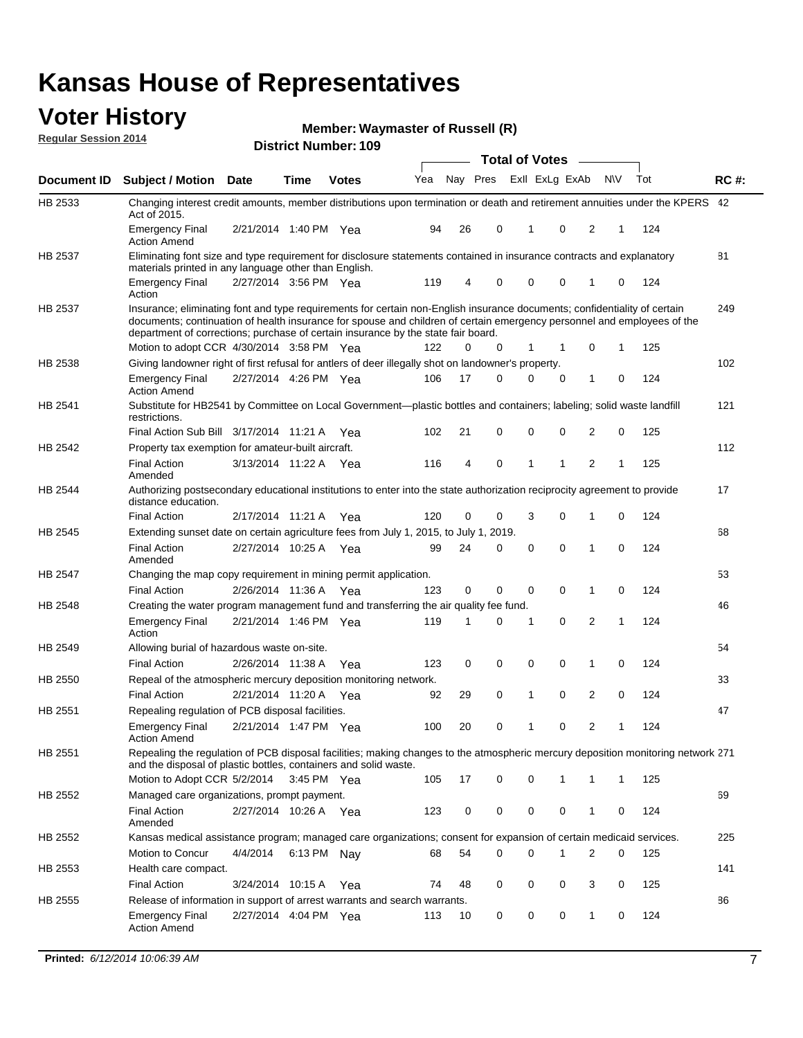### **Voter History**

**Regular Session 2014**

**Waymaster of Russell (R)**

|             |                                                                                                                                                                                                                                                                                                                                           | טטו דיטווווער ואוווטר | <b>Total of Votes</b><br>$\overline{\phantom{a}}$ |              |     |    |          |  |             |                |                |   |     |             |
|-------------|-------------------------------------------------------------------------------------------------------------------------------------------------------------------------------------------------------------------------------------------------------------------------------------------------------------------------------------------|-----------------------|---------------------------------------------------|--------------|-----|----|----------|--|-------------|----------------|----------------|---|-----|-------------|
| Document ID | <b>Subject / Motion Date</b>                                                                                                                                                                                                                                                                                                              |                       | Time                                              | <b>Votes</b> | Yea |    | Nay Pres |  |             | Exll ExLg ExAb | N\V            |   | Tot | <b>RC#:</b> |
| HB 2533     | Changing interest credit amounts, member distributions upon termination or death and retirement annuities under the KPERS 42<br>Act of 2015.                                                                                                                                                                                              |                       |                                                   |              |     |    |          |  |             |                |                |   |     |             |
|             | <b>Emergency Final</b><br><b>Action Amend</b>                                                                                                                                                                                                                                                                                             | 2/21/2014 1:40 PM Yea |                                                   |              | 94  | 26 | 0        |  | 1           | $\mathbf 0$    | 2              | 1 | 124 |             |
| HB 2537     | Eliminating font size and type requirement for disclosure statements contained in insurance contracts and explanatory<br>materials printed in any language other than English.                                                                                                                                                            |                       |                                                   |              |     |    |          |  |             |                |                |   |     | 81          |
|             | <b>Emergency Final</b><br>Action                                                                                                                                                                                                                                                                                                          | 2/27/2014 3:56 PM Yea |                                                   |              | 119 | 4  | 0        |  | $\mathbf 0$ | $\mathbf 0$    | 1              | 0 | 124 |             |
| HB 2537     | Insurance; eliminating font and type requirements for certain non-English insurance documents; confidentiality of certain<br>documents; continuation of health insurance for spouse and children of certain emergency personnel and employees of the<br>department of corrections; purchase of certain insurance by the state fair board. |                       |                                                   |              |     |    |          |  |             |                |                |   |     | 249         |
|             | Motion to adopt CCR 4/30/2014 3:58 PM Yea                                                                                                                                                                                                                                                                                                 |                       |                                                   |              | 122 | 0  | 0        |  | 1           | 1              | 0              | 1 | 125 |             |
| HB 2538     | Giving landowner right of first refusal for antlers of deer illegally shot on landowner's property.                                                                                                                                                                                                                                       |                       |                                                   |              |     |    |          |  |             |                |                |   |     | 102         |
|             | <b>Emergency Final</b><br><b>Action Amend</b>                                                                                                                                                                                                                                                                                             | 2/27/2014 4:26 PM Yea |                                                   |              | 106 | 17 | 0        |  | 0           | 0              | 1              | 0 | 124 |             |
| HB 2541     | Substitute for HB2541 by Committee on Local Government—plastic bottles and containers; labeling; solid waste landfill<br>restrictions.                                                                                                                                                                                                    |                       |                                                   |              |     |    |          |  |             |                |                |   |     | 121         |
|             | Final Action Sub Bill 3/17/2014 11:21 A Yea                                                                                                                                                                                                                                                                                               |                       |                                                   |              | 102 | 21 | 0        |  | 0           | 0              | 2              | 0 | 125 |             |
| HB 2542     | Property tax exemption for amateur-built aircraft.<br><b>Final Action</b>                                                                                                                                                                                                                                                                 | 3/13/2014 11:22 A Yea |                                                   |              | 116 | 4  | 0        |  | 1           | 1              | $\overline{2}$ | 1 | 125 | 112         |
| HB 2544     | Amended<br>Authorizing postsecondary educational institutions to enter into the state authorization reciprocity agreement to provide<br>distance education.                                                                                                                                                                               |                       |                                                   |              |     |    |          |  |             |                |                |   |     | 17          |
|             | <b>Final Action</b>                                                                                                                                                                                                                                                                                                                       | 2/17/2014 11:21 A Yea |                                                   |              | 120 | 0  | 0        |  | 3           | 0              | 1              | 0 | 124 |             |
| HB 2545     | Extending sunset date on certain agriculture fees from July 1, 2015, to July 1, 2019.                                                                                                                                                                                                                                                     |                       |                                                   |              |     |    |          |  |             |                |                |   |     | 68          |
|             | <b>Final Action</b><br>Amended                                                                                                                                                                                                                                                                                                            | 2/27/2014 10:25 A Yea |                                                   |              | 99  | 24 | 0        |  | $\mathbf 0$ | $\Omega$       | 1              | 0 | 124 |             |
| HB 2547     | Changing the map copy requirement in mining permit application.                                                                                                                                                                                                                                                                           |                       |                                                   |              |     |    |          |  |             |                |                |   |     | 53          |
|             | <b>Final Action</b>                                                                                                                                                                                                                                                                                                                       | 2/26/2014 11:36 A     |                                                   | Yea          | 123 | 0  | 0        |  | 0           | 0              | 1              | 0 | 124 |             |
| HB 2548     | Creating the water program management fund and transferring the air quality fee fund.                                                                                                                                                                                                                                                     |                       |                                                   |              |     |    |          |  |             |                |                |   |     | 46          |
|             | <b>Emergency Final</b><br>Action                                                                                                                                                                                                                                                                                                          | 2/21/2014 1:46 PM Yea |                                                   |              | 119 | 1  | 0        |  | 1           | 0              | 2              | 1 | 124 |             |
| HB 2549     | Allowing burial of hazardous waste on-site.                                                                                                                                                                                                                                                                                               |                       |                                                   |              |     |    |          |  |             |                |                |   |     | 54          |
|             | <b>Final Action</b>                                                                                                                                                                                                                                                                                                                       | 2/26/2014 11:38 A     |                                                   | Yea          | 123 | 0  | 0        |  | 0           | 0              | 1              | 0 | 124 |             |
| HB 2550     | Repeal of the atmospheric mercury deposition monitoring network.                                                                                                                                                                                                                                                                          |                       |                                                   |              |     |    |          |  |             |                |                |   |     | 33          |
|             | <b>Final Action</b>                                                                                                                                                                                                                                                                                                                       | 2/21/2014 11:20 A     |                                                   | Yea          | 92  | 29 | 0        |  | 1           | 0              | 2              | 0 | 124 |             |
| HB 2551     | Repealing regulation of PCB disposal facilities.                                                                                                                                                                                                                                                                                          |                       |                                                   |              |     |    |          |  |             |                |                |   |     | 47          |
|             | <b>Emergency Final</b><br>Action Amend                                                                                                                                                                                                                                                                                                    | 2/21/2014 1:47 PM Yea |                                                   |              | 100 | 20 | 0        |  | 1           | 0              | 2              | 1 | 124 |             |
| HB 2551     | Repealing the regulation of PCB disposal facilities; making changes to the atmospheric mercury deposition monitoring network 271<br>and the disposal of plastic bottles, containers and solid waste.                                                                                                                                      |                       |                                                   |              |     |    |          |  |             |                |                |   |     |             |
|             | Motion to Adopt CCR 5/2/2014 3:45 PM Yea                                                                                                                                                                                                                                                                                                  |                       |                                                   |              | 105 | 17 | 0        |  | 0           | 1              | 1              | 1 | 125 |             |
| HB 2552     | Managed care organizations, prompt payment.                                                                                                                                                                                                                                                                                               |                       |                                                   |              |     |    |          |  |             |                |                |   |     | 69          |
|             | <b>Final Action</b><br>Amended                                                                                                                                                                                                                                                                                                            | 2/27/2014 10:26 A Yea |                                                   |              | 123 | 0  | 0        |  | 0           | 0              | 1              | 0 | 124 |             |
| HB 2552     | Kansas medical assistance program; managed care organizations; consent for expansion of certain medicaid services.                                                                                                                                                                                                                        |                       |                                                   |              |     |    |          |  |             |                |                |   |     | 225         |
|             | Motion to Concur                                                                                                                                                                                                                                                                                                                          | 4/4/2014              | 6:13 PM Nay                                       |              | 68  | 54 | 0        |  | 0           | 1              | 2              | 0 | 125 |             |
| HB 2553     | Health care compact.                                                                                                                                                                                                                                                                                                                      |                       |                                                   |              |     |    |          |  |             |                |                |   |     | 141         |
|             | <b>Final Action</b>                                                                                                                                                                                                                                                                                                                       | 3/24/2014 10:15 A     |                                                   | Yea          | 74  | 48 | 0        |  | 0           | 0              | 3              | 0 | 125 |             |
| HB 2555     | Release of information in support of arrest warrants and search warrants.                                                                                                                                                                                                                                                                 |                       |                                                   |              |     |    |          |  |             |                |                |   |     | 86          |
|             | <b>Emergency Final</b><br><b>Action Amend</b>                                                                                                                                                                                                                                                                                             | 2/27/2014 4:04 PM Yea |                                                   |              | 113 | 10 | 0        |  | 0           | 0              | 1              | 0 | 124 |             |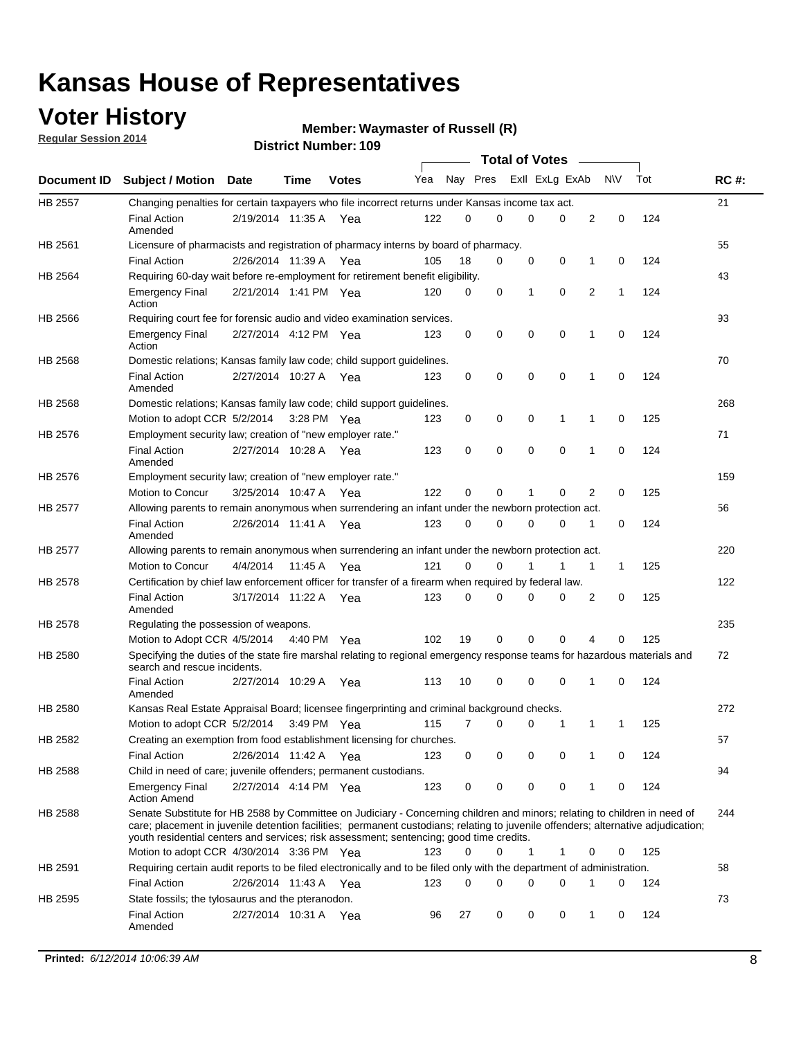## **Voter History**

**Regular Session 2014**

#### **Waymaster of Russell (R)**

|         |                                                                                                                                                                                                                                                                                                                                                           |                       |         |              |     |          |          | <b>Total of Votes</b> |          |   |             |     |             |
|---------|-----------------------------------------------------------------------------------------------------------------------------------------------------------------------------------------------------------------------------------------------------------------------------------------------------------------------------------------------------------|-----------------------|---------|--------------|-----|----------|----------|-----------------------|----------|---|-------------|-----|-------------|
|         | Document ID Subject / Motion                                                                                                                                                                                                                                                                                                                              | Date                  | Time    | <b>Votes</b> | Yea |          | Nay Pres | Exll ExLg ExAb        |          |   | <b>NV</b>   | Tot | <b>RC#:</b> |
| HB 2557 | Changing penalties for certain taxpayers who file incorrect returns under Kansas income tax act.                                                                                                                                                                                                                                                          |                       |         |              |     |          |          |                       |          |   |             |     | 21          |
|         | <b>Final Action</b><br>Amended                                                                                                                                                                                                                                                                                                                            | 2/19/2014 11:35 A     |         | Yea          | 122 | 0        | 0        | 0                     | 0        | 2 | 0           | 124 |             |
| HB 2561 | Licensure of pharmacists and registration of pharmacy interns by board of pharmacy.                                                                                                                                                                                                                                                                       |                       |         |              |     |          |          |                       |          |   |             |     | 55          |
|         | <b>Final Action</b>                                                                                                                                                                                                                                                                                                                                       | 2/26/2014 11:39 A Yea |         |              | 105 | 18       | 0        | 0                     | 0        | 1 | 0           | 124 |             |
| HB 2564 | Requiring 60-day wait before re-employment for retirement benefit eligibility.                                                                                                                                                                                                                                                                            |                       |         |              |     |          |          |                       |          |   |             |     | 43          |
|         | <b>Emergency Final</b><br>Action                                                                                                                                                                                                                                                                                                                          | 2/21/2014 1:41 PM Yea |         |              | 120 | 0        | 0        | 1                     | 0        | 2 | 1           | 124 |             |
| HB 2566 | Requiring court fee for forensic audio and video examination services.                                                                                                                                                                                                                                                                                    |                       |         |              |     |          |          |                       |          |   |             |     | 93          |
|         | <b>Emergency Final</b><br>Action                                                                                                                                                                                                                                                                                                                          | 2/27/2014 4:12 PM Yea |         |              | 123 | 0        | 0        | 0                     | 0        | 1 | $\mathbf 0$ | 124 |             |
| HB 2568 | Domestic relations; Kansas family law code; child support guidelines.                                                                                                                                                                                                                                                                                     |                       |         |              |     |          |          |                       |          |   |             |     | 70          |
|         | <b>Final Action</b><br>Amended                                                                                                                                                                                                                                                                                                                            | 2/27/2014 10:27 A     |         | Yea          | 123 | 0        | 0        | 0                     | 0        | 1 | 0           | 124 |             |
| HB 2568 | Domestic relations; Kansas family law code; child support guidelines.                                                                                                                                                                                                                                                                                     |                       |         |              |     |          |          |                       |          |   |             |     | 268         |
|         | Motion to adopt CCR 5/2/2014 3:28 PM Yea                                                                                                                                                                                                                                                                                                                  |                       |         |              | 123 | 0        | 0        | 0                     | 1        | 1 | $\mathbf 0$ | 125 |             |
| HB 2576 | Employment security law; creation of "new employer rate."                                                                                                                                                                                                                                                                                                 |                       |         |              |     |          |          |                       |          |   |             |     | 71          |
|         | <b>Final Action</b><br>Amended                                                                                                                                                                                                                                                                                                                            | 2/27/2014 10:28 A     |         | Yea          | 123 | 0        | 0        | 0                     | 0        | 1 | $\mathbf 0$ | 124 |             |
| HB 2576 | Employment security law; creation of "new employer rate."                                                                                                                                                                                                                                                                                                 |                       |         |              |     |          |          |                       |          |   |             |     | 159         |
|         | Motion to Concur                                                                                                                                                                                                                                                                                                                                          | 3/25/2014 10:47 A     |         | Yea          | 122 | 0        | 0        | 1                     | 0        | 2 | 0           | 125 |             |
| HB 2577 | Allowing parents to remain anonymous when surrendering an infant under the newborn protection act.                                                                                                                                                                                                                                                        |                       |         |              |     |          |          |                       |          |   |             |     | 56          |
|         | <b>Final Action</b><br>Amended                                                                                                                                                                                                                                                                                                                            | 2/26/2014 11:41 A Yea |         |              | 123 | $\Omega$ | 0        | 0                     | 0        | 1 | 0           | 124 |             |
| HB 2577 | Allowing parents to remain anonymous when surrendering an infant under the newborn protection act.                                                                                                                                                                                                                                                        |                       |         |              |     |          |          |                       |          |   |             |     | 220         |
|         | Motion to Concur                                                                                                                                                                                                                                                                                                                                          | 4/4/2014              | 11:45 A | Yea          | 121 | 0        | 0        |                       | 1        | 1 | 1           | 125 |             |
| HB 2578 | Certification by chief law enforcement officer for transfer of a firearm when required by federal law.                                                                                                                                                                                                                                                    |                       |         |              |     |          |          |                       |          |   |             |     | 122         |
|         | <b>Final Action</b><br>Amended                                                                                                                                                                                                                                                                                                                            | 3/17/2014 11:22 A     |         | Yea          | 123 | $\Omega$ | 0        | 0                     | 0        | 2 | 0           | 125 |             |
| HB 2578 | Regulating the possession of weapons.                                                                                                                                                                                                                                                                                                                     |                       |         |              |     |          |          |                       |          |   |             |     | 235         |
|         | Motion to Adopt CCR 4/5/2014 4:40 PM Yea                                                                                                                                                                                                                                                                                                                  |                       |         |              | 102 | 19       | 0        | 0                     | $\Omega$ | 4 | 0           | 125 |             |
| HB 2580 | Specifying the duties of the state fire marshal relating to regional emergency response teams for hazardous materials and<br>search and rescue incidents.                                                                                                                                                                                                 |                       |         |              |     |          |          |                       |          |   |             |     | 72          |
|         | <b>Final Action</b><br>Amended                                                                                                                                                                                                                                                                                                                            | 2/27/2014 10:29 A     |         | Yea          | 113 | 10       | 0        | 0                     | 0        | 1 | 0           | 124 |             |
| HB 2580 | Kansas Real Estate Appraisal Board; licensee fingerprinting and criminal background checks.                                                                                                                                                                                                                                                               |                       |         |              |     |          |          |                       |          |   |             |     | 272         |
|         | Motion to adopt CCR 5/2/2014                                                                                                                                                                                                                                                                                                                              |                       |         | 3:49 PM Yea  | 115 | 7        | 0        | 0                     | 1        | 1 | 1           | 125 |             |
| HB 2582 | Creating an exemption from food establishment licensing for churches.                                                                                                                                                                                                                                                                                     |                       |         |              |     |          |          |                       |          |   |             |     | 57          |
|         | <b>Final Action</b>                                                                                                                                                                                                                                                                                                                                       | 2/26/2014 11:42 A Yea |         |              | 123 | 0        | 0        | 0                     | 0        | 1 | 0           | 124 |             |
| HB 2588 | Child in need of care; juvenile offenders; permanent custodians.                                                                                                                                                                                                                                                                                          |                       |         |              |     |          |          |                       |          |   |             |     | 94          |
|         | <b>Emergency Final</b><br><b>Action Amend</b>                                                                                                                                                                                                                                                                                                             | 2/27/2014 4:14 PM Yea |         |              | 123 | 0        | 0        | 0                     | 0        | 1 | 0           | 124 |             |
| HB 2588 | Senate Substitute for HB 2588 by Committee on Judiciary - Concerning children and minors; relating to children in need of<br>care; placement in juvenile detention facilities; permanent custodians; relating to juvenile offenders; alternative adjudication;<br>youth residential centers and services; risk assessment; sentencing; good time credits. |                       |         |              |     |          |          |                       |          |   |             |     | 244         |
|         | Motion to adopt CCR 4/30/2014 3:36 PM Yea                                                                                                                                                                                                                                                                                                                 |                       |         |              | 123 | 0        | 0        | 1                     | 1        | 0 | 0           | 125 |             |
| HB 2591 | Requiring certain audit reports to be filed electronically and to be filed only with the department of administration.                                                                                                                                                                                                                                    |                       |         |              |     |          |          |                       |          |   |             |     | 58          |
|         | <b>Final Action</b>                                                                                                                                                                                                                                                                                                                                       | 2/26/2014 11:43 A Yea |         |              | 123 | 0        | 0        | 0                     | 0        | 1 | 0           | 124 |             |
| HB 2595 | State fossils; the tylosaurus and the pteranodon.                                                                                                                                                                                                                                                                                                         |                       |         |              |     |          |          |                       |          |   |             |     | 73          |
|         | <b>Final Action</b><br>Amended                                                                                                                                                                                                                                                                                                                            | 2/27/2014 10:31 A Yea |         |              | 96  | 27       | 0        | 0                     | 0        | 1 | 0           | 124 |             |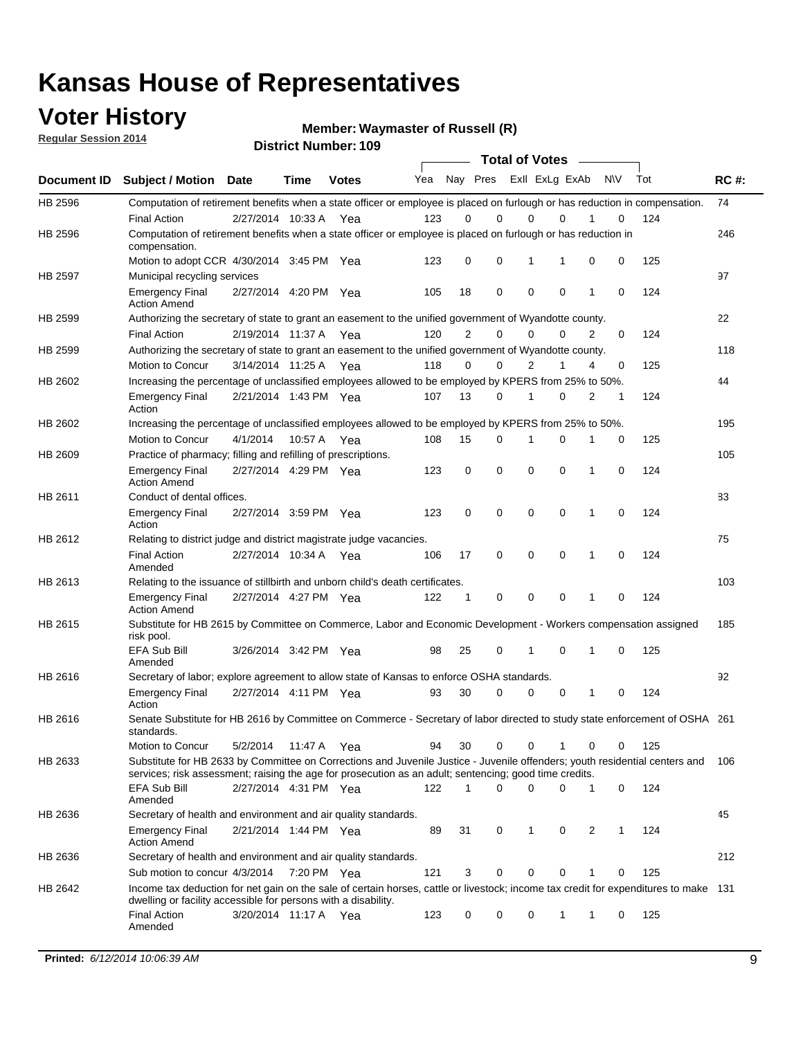### **Voter History**

**Regular Session 2014**

**Waymaster of Russell (R)**

|                |                                                                                                                                                                                                                                       |                       |             | <b>DISTRICT MAILINGL' LAS</b> |     |                |             |                | <b>Total of Votes</b> |   |           |     |             |
|----------------|---------------------------------------------------------------------------------------------------------------------------------------------------------------------------------------------------------------------------------------|-----------------------|-------------|-------------------------------|-----|----------------|-------------|----------------|-----------------------|---|-----------|-----|-------------|
| Document ID    | <b>Subject / Motion</b>                                                                                                                                                                                                               | <b>Date</b>           | Time        | <b>Votes</b>                  | Yea |                | Nay Pres    |                | Exll ExLg ExAb        |   | <b>NV</b> | Tot | <b>RC#:</b> |
| HB 2596        | Computation of retirement benefits when a state officer or employee is placed on furlough or has reduction in compensation.                                                                                                           |                       |             |                               |     |                |             |                |                       |   |           |     | 74          |
|                | <b>Final Action</b>                                                                                                                                                                                                                   | 2/27/2014 10:33 A     |             | Yea                           | 123 | 0              | $\Omega$    | 0              | $\Omega$              |   | 0         | 124 |             |
| HB 2596        | Computation of retirement benefits when a state officer or employee is placed on furlough or has reduction in<br>compensation.                                                                                                        |                       |             |                               |     |                |             |                |                       |   |           |     | 246         |
|                | Motion to adopt CCR 4/30/2014 3:45 PM Yea                                                                                                                                                                                             |                       |             |                               | 123 | 0              | 0           | 1              | 1                     | 0 | 0         | 125 |             |
| <b>HB 2597</b> | Municipal recycling services                                                                                                                                                                                                          |                       |             |                               |     |                |             |                |                       |   |           |     | 97          |
|                | <b>Emergency Final</b><br><b>Action Amend</b>                                                                                                                                                                                         | 2/27/2014 4:20 PM Yea |             |                               | 105 | 18             | $\mathbf 0$ | $\mathbf 0$    | $\mathbf 0$           | 1 | 0         | 124 |             |
| HB 2599        | Authorizing the secretary of state to grant an easement to the unified government of Wyandotte county.                                                                                                                                |                       |             |                               |     |                |             |                |                       |   |           |     | 22          |
|                | <b>Final Action</b>                                                                                                                                                                                                                   | 2/19/2014 11:37 A     |             | Yea                           | 120 | $\overline{2}$ | $\mathbf 0$ | 0              | $\Omega$              | 2 | 0         | 124 |             |
| HB 2599        | Authorizing the secretary of state to grant an easement to the unified government of Wyandotte county.                                                                                                                                |                       |             |                               |     |                |             |                |                       |   |           |     | 118         |
|                | Motion to Concur                                                                                                                                                                                                                      | 3/14/2014 11:25 A     |             | Yea                           | 118 | $\Omega$       | 0           | $\overline{2}$ | 1                     | 4 | 0         | 125 |             |
| HB 2602        | Increasing the percentage of unclassified employees allowed to be employed by KPERS from 25% to 50%.                                                                                                                                  |                       |             |                               |     |                |             |                |                       |   |           |     | 44          |
|                | <b>Emergency Final</b><br>Action                                                                                                                                                                                                      | 2/21/2014 1:43 PM Yea |             |                               | 107 | 13             | 0           | 1              | $\Omega$              | 2 | 1         | 124 |             |
| HB 2602        | Increasing the percentage of unclassified employees allowed to be employed by KPERS from 25% to 50%.                                                                                                                                  |                       |             |                               |     |                |             |                |                       |   |           |     | 195         |
|                | Motion to Concur                                                                                                                                                                                                                      | 4/1/2014              | 10:57 A Yea |                               | 108 | 15             | 0           | 1              | 0                     | 1 | 0         | 125 |             |
| HB 2609        | Practice of pharmacy; filling and refilling of prescriptions.                                                                                                                                                                         |                       |             |                               |     |                |             |                |                       |   |           |     | 105         |
|                | <b>Emergency Final</b><br><b>Action Amend</b>                                                                                                                                                                                         | 2/27/2014 4:29 PM Yea |             |                               | 123 | 0              | $\mathbf 0$ | $\mathbf 0$    | $\Omega$              | 1 | 0         | 124 |             |
| HB 2611        | Conduct of dental offices.                                                                                                                                                                                                            |                       |             |                               |     |                |             |                |                       |   |           |     | 83          |
|                | <b>Emergency Final</b><br>Action                                                                                                                                                                                                      | 2/27/2014 3:59 PM Yea |             |                               | 123 | 0              | $\mathbf 0$ | $\mathbf 0$    | $\mathbf 0$           | 1 | 0         | 124 |             |
| HB 2612        | Relating to district judge and district magistrate judge vacancies.                                                                                                                                                                   |                       |             |                               |     |                |             |                |                       |   |           |     | 75          |
|                | <b>Final Action</b><br>Amended                                                                                                                                                                                                        | 2/27/2014 10:34 A     |             | Yea                           | 106 | 17             | $\mathbf 0$ | $\mathbf 0$    | $\mathbf 0$           | 1 | 0         | 124 |             |
| HB 2613        | Relating to the issuance of stillbirth and unborn child's death certificates.                                                                                                                                                         |                       |             |                               |     |                |             |                |                       |   |           |     | 103         |
|                | <b>Emergency Final</b><br><b>Action Amend</b>                                                                                                                                                                                         | 2/27/2014 4:27 PM Yea |             |                               | 122 | 1              | 0           | $\mathbf 0$    | $\Omega$              | 1 | 0         | 124 |             |
| HB 2615        | Substitute for HB 2615 by Committee on Commerce, Labor and Economic Development - Workers compensation assigned<br>risk pool.                                                                                                         |                       |             |                               |     |                |             |                |                       |   |           |     | 185         |
|                | EFA Sub Bill<br>Amended                                                                                                                                                                                                               | 3/26/2014 3:42 PM Yea |             |                               | 98  | 25             | 0           | 1              | $\mathbf 0$           | 1 | 0         | 125 |             |
| HB 2616        | Secretary of labor; explore agreement to allow state of Kansas to enforce OSHA standards.                                                                                                                                             |                       |             |                               |     |                |             |                |                       |   |           |     | 92          |
|                | <b>Emergency Final</b><br>Action                                                                                                                                                                                                      | 2/27/2014 4:11 PM Yea |             |                               | 93  | 30             | 0           | 0              | 0                     | 1 | 0         | 124 |             |
| HB 2616        | Senate Substitute for HB 2616 by Committee on Commerce - Secretary of labor directed to study state enforcement of OSHA 261<br>standards.                                                                                             |                       |             |                               |     |                |             |                |                       |   |           |     |             |
|                | Motion to Concur                                                                                                                                                                                                                      | 5/2/2014              | 11:47 A Yea |                               | 94  | 30             | 0           | 0              | 1                     | 0 | 0         | 125 |             |
| HB 2633        | Substitute for HB 2633 by Committee on Corrections and Juvenile Justice - Juvenile offenders; youth residential centers and<br>services; risk assessment; raising the age for prosecution as an adult; sentencing; good time credits. |                       |             |                               |     |                |             |                |                       |   |           |     | 106         |
|                | EFA Sub Bill<br>Amended                                                                                                                                                                                                               | 2/27/2014 4:31 PM Yea |             |                               | 122 | 1              | 0           | $\mathbf 0$    | 0                     | 1 | 0         | 124 |             |
| HB 2636        | Secretary of health and environment and air quality standards.                                                                                                                                                                        |                       |             |                               |     |                |             |                |                       |   |           |     | 45          |
|                | <b>Emergency Final</b><br><b>Action Amend</b>                                                                                                                                                                                         | 2/21/2014 1:44 PM Yea |             |                               | 89  | 31             | 0           | 1              | 0                     | 2 | 1         | 124 |             |
| HB 2636        | Secretary of health and environment and air quality standards.                                                                                                                                                                        |                       |             |                               |     |                |             |                |                       |   |           |     | 212         |
|                | Sub motion to concur 4/3/2014                                                                                                                                                                                                         |                       | 7:20 PM Yea |                               | 121 | 3              | 0           | 0              | 0                     |   | 0         | 125 |             |
| HB 2642        | Income tax deduction for net gain on the sale of certain horses, cattle or livestock; income tax credit for expenditures to make 131<br>dwelling or facility accessible for persons with a disability.                                |                       |             |                               |     |                |             |                |                       |   |           |     |             |
|                | <b>Final Action</b><br>Amended                                                                                                                                                                                                        | 3/20/2014 11:17 A Yea |             |                               | 123 | 0              | 0           | 0              | $\mathbf{1}$          | 1 | 0         | 125 |             |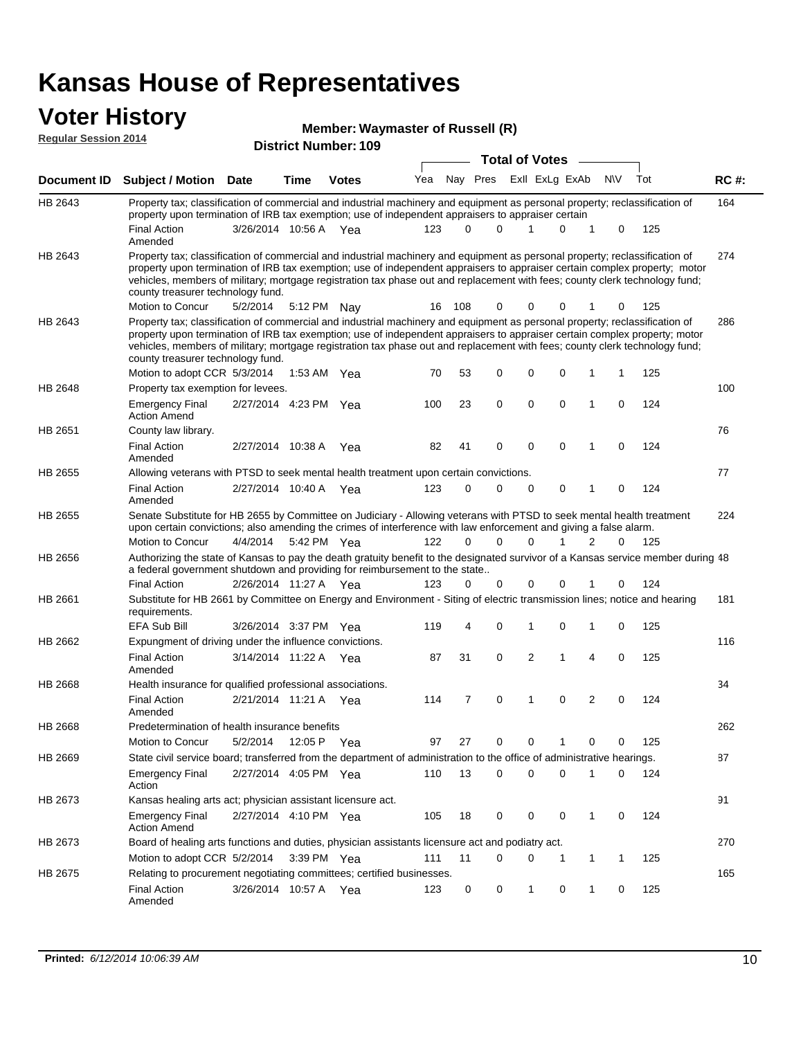#### **Voter History Regular Session 2014**

| Member: Waymaster of Russell (R) |  |
|----------------------------------|--|
|----------------------------------|--|

|                | ul Italiinui .<br><b>Total of Votes</b>                                                                                                                                                                                                                                                                                                                                                                                                                       |                       |             |              |     |          |                         |             |             |                |     |     |             |
|----------------|---------------------------------------------------------------------------------------------------------------------------------------------------------------------------------------------------------------------------------------------------------------------------------------------------------------------------------------------------------------------------------------------------------------------------------------------------------------|-----------------------|-------------|--------------|-----|----------|-------------------------|-------------|-------------|----------------|-----|-----|-------------|
| Document ID    | <b>Subject / Motion Date</b>                                                                                                                                                                                                                                                                                                                                                                                                                                  |                       | <b>Time</b> | <b>Votes</b> | Yea |          | Nay Pres Exll ExLg ExAb |             |             |                | N\V | Tot | <b>RC#:</b> |
| HB 2643        | Property tax; classification of commercial and industrial machinery and equipment as personal property; reclassification of<br>property upon termination of IRB tax exemption; use of independent appraisers to appraiser certain                                                                                                                                                                                                                             |                       |             |              |     |          |                         |             |             |                |     |     | 164         |
|                | <b>Final Action</b><br>Amended                                                                                                                                                                                                                                                                                                                                                                                                                                | 3/26/2014 10:56 A Yea |             |              | 123 | 0        | 0                       | 1           | $\mathbf 0$ | 1              | 0   | 125 |             |
| HB 2643        | Property tax; classification of commercial and industrial machinery and equipment as personal property; reclassification of<br>property upon termination of IRB tax exemption; use of independent appraisers to appraiser certain complex property; motor<br>vehicles, members of military; mortgage registration tax phase out and replacement with fees; county clerk technology fund;<br>county treasurer technology fund.                                 |                       |             |              |     |          |                         |             |             |                |     |     | 274         |
|                | Motion to Concur                                                                                                                                                                                                                                                                                                                                                                                                                                              | 5/2/2014              |             | 5:12 PM Nay  | 16  | 108      | 0                       | 0           | 0           |                | 0   | 125 |             |
| HB 2643        | Property tax; classification of commercial and industrial machinery and equipment as personal property; reclassification of<br>property upon termination of IRB tax exemption; use of independent appraisers to appraiser certain complex property; motor<br>vehicles, members of military; mortgage registration tax phase out and replacement with fees; county clerk technology fund;<br>county treasurer technology fund.<br>Motion to adopt CCR 5/3/2014 |                       |             | 1:53 AM Yea  | 70  | 53       | 0                       | $\mathbf 0$ | 0           | 1              | 1   | 125 | 286         |
| HB 2648        | Property tax exemption for levees.                                                                                                                                                                                                                                                                                                                                                                                                                            |                       |             |              |     |          |                         |             |             |                |     |     | 100         |
|                | <b>Emergency Final</b><br><b>Action Amend</b>                                                                                                                                                                                                                                                                                                                                                                                                                 | 2/27/2014 4:23 PM Yea |             |              | 100 | 23       | $\mathbf 0$             | $\mathbf 0$ | 0           | 1              | 0   | 124 |             |
| HB 2651        | County law library.                                                                                                                                                                                                                                                                                                                                                                                                                                           |                       |             |              |     |          |                         |             |             |                |     |     | 76          |
|                | <b>Final Action</b><br>Amended                                                                                                                                                                                                                                                                                                                                                                                                                                | 2/27/2014 10:38 A     |             | Yea          | 82  | 41       | 0                       | $\mathbf 0$ | $\mathbf 0$ | 1              | 0   | 124 |             |
| <b>HB 2655</b> | Allowing veterans with PTSD to seek mental health treatment upon certain convictions.                                                                                                                                                                                                                                                                                                                                                                         |                       |             |              |     |          |                         |             |             |                |     |     | 77          |
|                | <b>Final Action</b><br>Amended                                                                                                                                                                                                                                                                                                                                                                                                                                | 2/27/2014 10:40 A Yea |             |              | 123 | 0        | 0                       | $\mathbf 0$ | 0           | 1              | 0   | 124 |             |
| HB 2655        | Senate Substitute for HB 2655 by Committee on Judiciary - Allowing veterans with PTSD to seek mental health treatment<br>upon certain convictions; also amending the crimes of interference with law enforcement and giving a false alarm.<br>Motion to Concur                                                                                                                                                                                                |                       |             |              | 122 | $\Omega$ | $\Omega$                | $\Omega$    |             | 2              | 0   | 125 | 224         |
|                |                                                                                                                                                                                                                                                                                                                                                                                                                                                               | 4/4/2014              |             | 5:42 PM Yea  |     |          |                         |             |             |                |     |     |             |
| HB 2656        | Authorizing the state of Kansas to pay the death gratuity benefit to the designated survivor of a Kansas service member during 48<br>a federal government shutdown and providing for reimbursement to the state                                                                                                                                                                                                                                               |                       |             |              |     |          |                         |             |             |                |     |     |             |
|                | <b>Final Action</b><br>Substitute for HB 2661 by Committee on Energy and Environment - Siting of electric transmission lines; notice and hearing                                                                                                                                                                                                                                                                                                              | 2/26/2014 11:27 A Yea |             |              | 123 | 0        | 0                       | 0           | 0           |                | 0   | 124 | 181         |
| HB 2661        | requirements.<br>EFA Sub Bill                                                                                                                                                                                                                                                                                                                                                                                                                                 | 3/26/2014 3:37 PM Yea |             |              | 119 | 4        | 0                       | 1           | $\mathbf 0$ | 1              | 0   | 125 |             |
| HB 2662        | Expungment of driving under the influence convictions.                                                                                                                                                                                                                                                                                                                                                                                                        |                       |             |              |     |          |                         |             |             |                |     |     | 116         |
|                | <b>Final Action</b><br>Amended                                                                                                                                                                                                                                                                                                                                                                                                                                | 3/14/2014 11:22 A Yea |             |              | 87  | 31       | 0                       | 2           | 1           | 4              | 0   | 125 |             |
| HB 2668        | Health insurance for qualified professional associations.                                                                                                                                                                                                                                                                                                                                                                                                     |                       |             |              |     |          |                         |             |             |                |     |     | 34          |
|                | <b>Final Action</b><br>Amended                                                                                                                                                                                                                                                                                                                                                                                                                                | 2/21/2014 11:21 A Yea |             |              | 114 | 7        | 0                       | 1           | $\mathbf 0$ | $\overline{2}$ | 0   | 124 |             |
| HB 2668        | Predetermination of health insurance benefits                                                                                                                                                                                                                                                                                                                                                                                                                 |                       |             |              |     |          |                         |             |             |                |     |     | 262         |
|                | Motion to Concur                                                                                                                                                                                                                                                                                                                                                                                                                                              | 5/2/2014              |             | 12:05 P Yea  | 97  | 27       | 0                       | 0           | 1           | 0              | 0   | 125 |             |
| HB 2669        | State civil service board; transferred from the department of administration to the office of administrative hearings.                                                                                                                                                                                                                                                                                                                                        |                       |             |              |     |          |                         |             |             |                |     |     | 87          |
|                | <b>Emergency Final</b><br>Action                                                                                                                                                                                                                                                                                                                                                                                                                              | 2/27/2014 4:05 PM Yea |             |              | 110 | 13       | 0                       | $\mathbf 0$ | 0           | 1              | 0   | 124 |             |
| HB 2673        | Kansas healing arts act; physician assistant licensure act.                                                                                                                                                                                                                                                                                                                                                                                                   |                       |             |              |     |          |                         |             |             |                |     |     | 91          |
|                | <b>Emergency Final</b><br><b>Action Amend</b>                                                                                                                                                                                                                                                                                                                                                                                                                 | 2/27/2014 4:10 PM Yea |             |              | 105 | 18       | 0                       | 0           | 0           | 1              | 0   | 124 |             |
| HB 2673        | Board of healing arts functions and duties, physician assistants licensure act and podiatry act.                                                                                                                                                                                                                                                                                                                                                              |                       |             |              |     |          |                         |             |             |                |     |     | 270         |
|                | Motion to adopt CCR 5/2/2014                                                                                                                                                                                                                                                                                                                                                                                                                                  |                       |             | 3:39 PM Yea  | 111 | 11       | 0                       | 0           | 1           | 1              | 1   | 125 |             |
| HB 2675        | Relating to procurement negotiating committees; certified businesses.                                                                                                                                                                                                                                                                                                                                                                                         |                       |             |              |     |          |                         |             |             |                |     |     | 165         |
|                | <b>Final Action</b><br>Amended                                                                                                                                                                                                                                                                                                                                                                                                                                | 3/26/2014 10:57 A Yea |             |              | 123 | 0        | 0                       | 1           | 0           | 1              | 0   | 125 |             |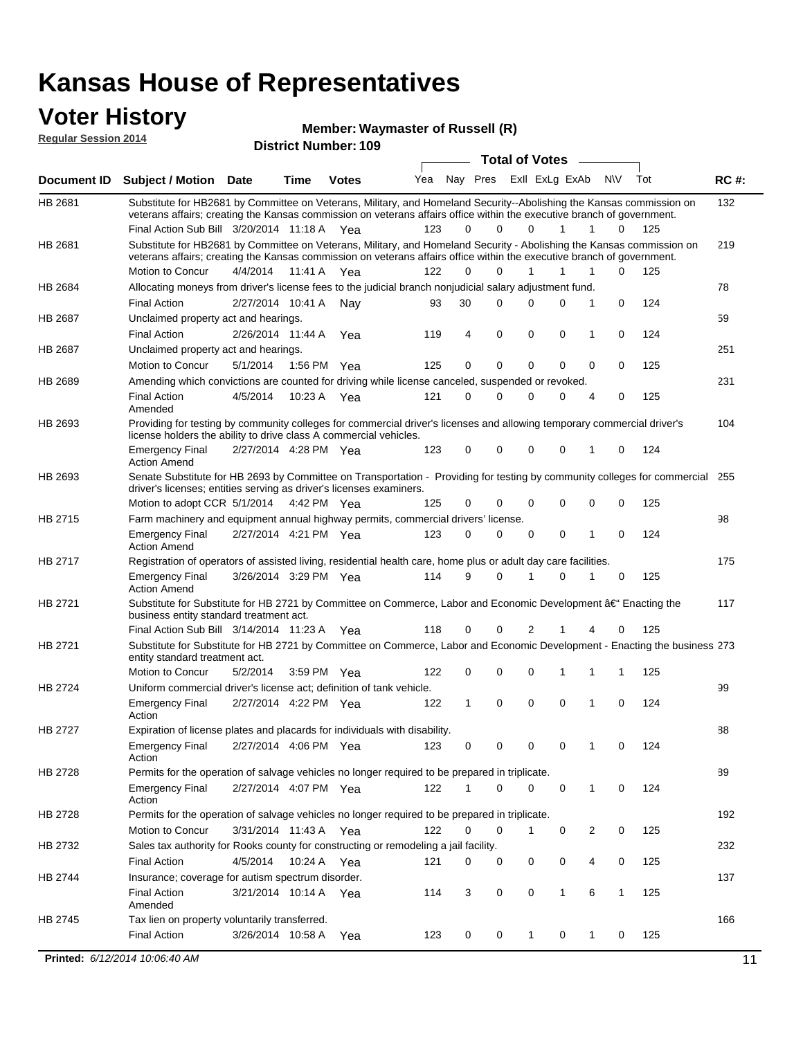### **Voter History**

**Regular Session 2014**

#### **Waymaster of Russell (R)**

| <b>District Number: 109</b> |  |
|-----------------------------|--|
|                             |  |

|                |                                                                                                                                                                                                                                                |                       |             |              |     |          |             | <b>Total of Votes</b> | $\sim$         |                     |     |             |
|----------------|------------------------------------------------------------------------------------------------------------------------------------------------------------------------------------------------------------------------------------------------|-----------------------|-------------|--------------|-----|----------|-------------|-----------------------|----------------|---------------------|-----|-------------|
|                | Document ID Subject / Motion Date                                                                                                                                                                                                              |                       | Time        | <b>Votes</b> | Yea | Nay Pres |             |                       | Exll ExLg ExAb | N\V                 | Tot | <b>RC#:</b> |
| HB 2681        | Substitute for HB2681 by Committee on Veterans, Military, and Homeland Security--Abolishing the Kansas commission on<br>veterans affairs; creating the Kansas commission on veterans affairs office within the executive branch of government. |                       |             |              |     |          |             |                       |                |                     |     | 132         |
|                | Final Action Sub Bill 3/20/2014 11:18 A Yea                                                                                                                                                                                                    |                       |             |              | 123 | 0        | $\Omega$    | $\Omega$              | $\mathbf{1}$   | 1<br>0              | 125 |             |
| HB 2681        | Substitute for HB2681 by Committee on Veterans, Military, and Homeland Security - Abolishing the Kansas commission on                                                                                                                          |                       |             |              |     |          |             |                       |                |                     |     | 219         |
|                | veterans affairs; creating the Kansas commission on veterans affairs office within the executive branch of government.                                                                                                                         |                       |             |              |     |          |             |                       |                |                     |     |             |
|                | Motion to Concur                                                                                                                                                                                                                               | 4/4/2014 11:41 A      |             | Yea          | 122 | 0        | 0           |                       | 1              | 1<br>0              | 125 |             |
| HB 2684        | Allocating moneys from driver's license fees to the judicial branch nonjudicial salary adjustment fund.                                                                                                                                        |                       |             |              |     |          |             |                       |                |                     |     | 78          |
|                | <b>Final Action</b>                                                                                                                                                                                                                            | 2/27/2014 10:41 A Nay |             |              | 93  | 30       | 0           | 0                     | $\Omega$       | 0<br>1              | 124 |             |
| <b>HB 2687</b> | Unclaimed property act and hearings.                                                                                                                                                                                                           |                       |             |              |     |          |             |                       |                |                     |     | 59          |
|                | <b>Final Action</b>                                                                                                                                                                                                                            | 2/26/2014 11:44 A     |             | Yea          | 119 | 4        | $\mathbf 0$ | 0                     | 0              | 0<br>1              | 124 |             |
| <b>HB 2687</b> | Unclaimed property act and hearings.                                                                                                                                                                                                           |                       |             |              |     |          |             |                       |                |                     |     | 251         |
|                | Motion to Concur                                                                                                                                                                                                                               | 5/1/2014              | 1:56 PM Yea |              | 125 | 0        | $\mathbf 0$ | $\mathbf 0$           | $\Omega$       | 0<br>0              | 125 |             |
| HB 2689        | Amending which convictions are counted for driving while license canceled, suspended or revoked.                                                                                                                                               |                       |             |              |     |          |             |                       |                |                     |     | 231         |
|                | <b>Final Action</b><br>Amended                                                                                                                                                                                                                 | 4/5/2014              | 10:23 A Yea |              | 121 | 0        | 0           | 0                     | 0              | $\overline{4}$<br>0 | 125 |             |
| HB 2693        | Providing for testing by community colleges for commercial driver's licenses and allowing temporary commercial driver's                                                                                                                        |                       |             |              |     |          |             |                       |                |                     |     | 104         |
|                | license holders the ability to drive class A commercial vehicles.                                                                                                                                                                              |                       |             |              |     |          |             |                       |                |                     |     |             |
|                | <b>Emergency Final</b><br><b>Action Amend</b>                                                                                                                                                                                                  | 2/27/2014 4:28 PM Yea |             |              | 123 | 0        | 0           | 0                     | 0              | 0<br>1              | 124 |             |
| HB 2693        | Senate Substitute for HB 2693 by Committee on Transportation - Providing for testing by community colleges for commercial<br>driver's licenses; entities serving as driver's licenses examiners.                                               |                       |             |              |     |          |             |                       |                |                     |     | 255         |
|                | Motion to adopt CCR 5/1/2014 4:42 PM Yea                                                                                                                                                                                                       |                       |             |              | 125 | 0        | 0           | 0                     | 0              | 0<br>0              | 125 |             |
| HB 2715        | Farm machinery and equipment annual highway permits, commercial drivers' license.                                                                                                                                                              |                       |             |              |     |          |             |                       |                |                     |     | 98          |
|                | <b>Emergency Final</b>                                                                                                                                                                                                                         | 2/27/2014 4:21 PM Yea |             |              | 123 | 0        | $\Omega$    | $\Omega$              | 0              | 0<br>1              | 124 |             |
|                | <b>Action Amend</b>                                                                                                                                                                                                                            |                       |             |              |     |          |             |                       |                |                     |     |             |
| HB 2717        | Registration of operators of assisted living, residential health care, home plus or adult day care facilities.                                                                                                                                 |                       |             |              |     |          |             |                       |                |                     |     | 175         |
|                | <b>Emergency Final</b><br><b>Action Amend</b>                                                                                                                                                                                                  | 3/26/2014 3:29 PM Yea |             |              | 114 | 9        | $\Omega$    | 1                     | 0              | 0<br>1              | 125 |             |
| HB 2721        | Substitute for Substitute for HB 2721 by Committee on Commerce, Labor and Economic Development †Enacting the                                                                                                                                   |                       |             |              |     |          |             |                       |                |                     |     | 117         |
|                | business entity standard treatment act.                                                                                                                                                                                                        |                       |             |              |     |          |             |                       |                |                     |     |             |
|                | Final Action Sub Bill 3/14/2014 11:23 A Yea                                                                                                                                                                                                    |                       |             |              | 118 | 0        | 0           | 2                     | 1              | 4<br>0              | 125 |             |
| HB 2721        | Substitute for Substitute for HB 2721 by Committee on Commerce, Labor and Economic Development - Enacting the business 273<br>entity standard treatment act.                                                                                   |                       |             |              |     |          |             |                       |                |                     |     |             |
|                | <b>Motion to Concur</b>                                                                                                                                                                                                                        | 5/2/2014              | 3:59 PM Yea |              | 122 | 0        | 0           | 0                     | 1              | 1<br>1              | 125 |             |
| HB 2724        | Uniform commercial driver's license act; definition of tank vehicle.                                                                                                                                                                           |                       |             |              |     |          |             |                       |                |                     |     | 99          |
|                | <b>Emergency Final</b><br>Action                                                                                                                                                                                                               | 2/27/2014 4:22 PM Yea |             |              | 122 | 1        | $\mathbf 0$ | $\mathbf 0$           | 0              | 1<br>0              | 124 |             |
| <b>HB 2727</b> | Expiration of license plates and placards for individuals with disability.                                                                                                                                                                     |                       |             |              |     |          |             |                       |                |                     |     | 88          |
|                | Emergency Final<br>Action                                                                                                                                                                                                                      | 2/27/2014 4:06 PM Yea |             |              | 123 | 0        | 0           | 0                     | 0              | 1<br>0              | 124 |             |
| HB 2728        | Permits for the operation of salvage vehicles no longer required to be prepared in triplicate.                                                                                                                                                 |                       |             |              |     |          |             |                       |                |                     |     | 89          |
|                | <b>Emergency Final</b><br>Action                                                                                                                                                                                                               | 2/27/2014 4:07 PM Yea |             |              | 122 | 1        | 0           | 0                     | 0              | 1<br>0              | 124 |             |
| HB 2728        | Permits for the operation of salvage vehicles no longer required to be prepared in triplicate.                                                                                                                                                 |                       |             |              |     |          |             |                       |                |                     |     | 192         |
|                | Motion to Concur                                                                                                                                                                                                                               | 3/31/2014 11:43 A Yea |             |              | 122 | 0        | 0           | $\mathbf{1}$          | 0              | 0<br>2              | 125 |             |
| HB 2732        | Sales tax authority for Rooks county for constructing or remodeling a jail facility.                                                                                                                                                           |                       |             |              |     |          |             |                       |                |                     |     | 232         |
|                | <b>Final Action</b>                                                                                                                                                                                                                            | 4/5/2014 10:24 A Yea  |             |              | 121 | 0        | 0           | 0                     | 0              | 0<br>4              | 125 |             |
| HB 2744        | Insurance; coverage for autism spectrum disorder.                                                                                                                                                                                              |                       |             |              |     |          |             |                       |                |                     |     | 137         |
|                | <b>Final Action</b>                                                                                                                                                                                                                            | 3/21/2014 10:14 A Yea |             |              | 114 | 3        | 0           | 0                     | $\mathbf{1}$   | 6<br>$\mathbf{1}$   | 125 |             |
|                | Amended                                                                                                                                                                                                                                        |                       |             |              |     |          |             |                       |                |                     |     |             |
| HB 2745        | Tax lien on property voluntarily transferred.                                                                                                                                                                                                  |                       |             |              |     |          |             |                       |                |                     |     | 166         |
|                | <b>Final Action</b>                                                                                                                                                                                                                            | 3/26/2014 10:58 A     |             | Yea          | 123 | 0        | 0           | 1                     | 0              | 1<br>0              | 125 |             |
|                | <b>Printed:</b> 6/12/2014 10:06:40 AM                                                                                                                                                                                                          |                       |             |              |     |          |             |                       |                |                     |     | 11          |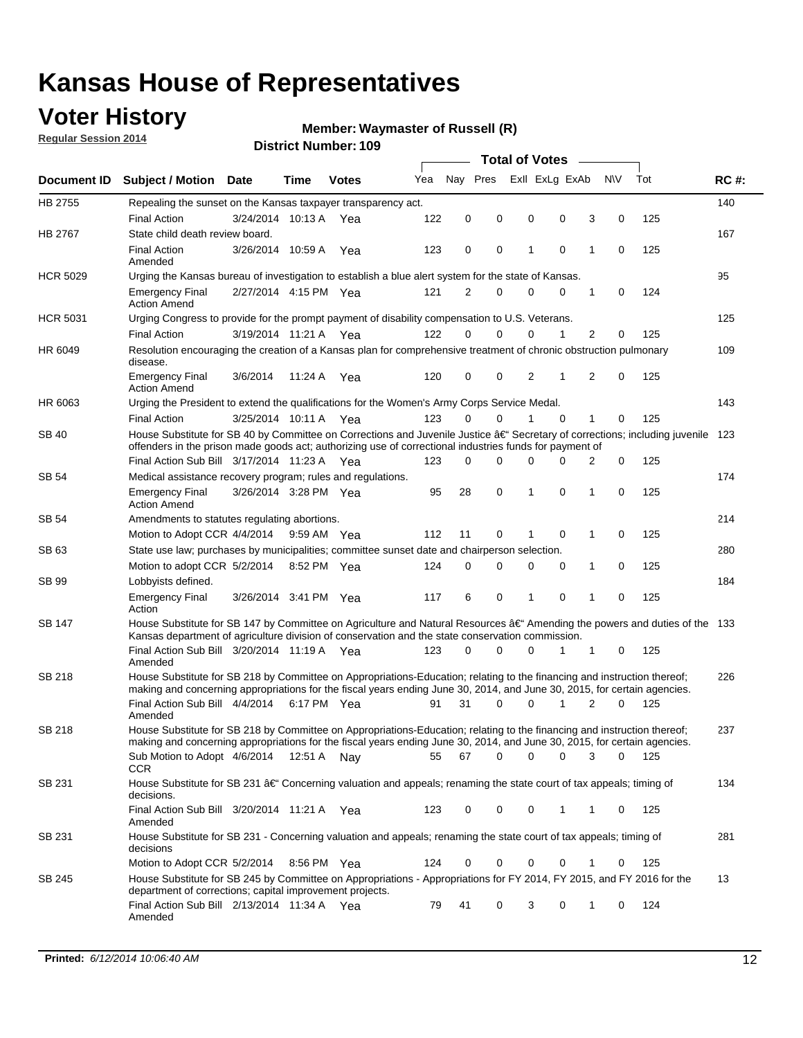## **Voter History**

**Regular Session 2014**

#### **Waymaster of Russell (R)**

|                 |                                                                                                                                                                                                                                                      |                       |             |              |     |          |             |   | <b>Total of Votes</b> |             |                |             |     |             |
|-----------------|------------------------------------------------------------------------------------------------------------------------------------------------------------------------------------------------------------------------------------------------------|-----------------------|-------------|--------------|-----|----------|-------------|---|-----------------------|-------------|----------------|-------------|-----|-------------|
|                 | Document ID Subject / Motion Date                                                                                                                                                                                                                    |                       | Time        | <b>Votes</b> | Yea | Nav Pres |             |   | Exll ExLg ExAb        |             | N\V            |             | Tot | <b>RC#:</b> |
| HB 2755         | Repealing the sunset on the Kansas taxpayer transparency act.                                                                                                                                                                                        |                       |             |              |     |          |             |   |                       |             |                |             |     | 140         |
|                 | <b>Final Action</b>                                                                                                                                                                                                                                  | 3/24/2014 10:13 A     |             | Yea          | 122 | 0        | 0           | 0 |                       | 0           | 3              | 0           | 125 |             |
| HB 2767         | State child death review board.                                                                                                                                                                                                                      |                       |             |              |     |          |             |   |                       |             |                |             |     | 167         |
|                 | <b>Final Action</b><br>Amended                                                                                                                                                                                                                       | 3/26/2014 10:59 A     |             | Yea          | 123 | 0        | 0           | 1 |                       | $\mathbf 0$ | 1              | 0           | 125 |             |
| <b>HCR 5029</b> | Urging the Kansas bureau of investigation to establish a blue alert system for the state of Kansas.                                                                                                                                                  |                       |             |              |     |          |             |   |                       |             |                |             |     | 95          |
|                 | <b>Emergency Final</b><br><b>Action Amend</b>                                                                                                                                                                                                        | 2/27/2014 4:15 PM Yea |             |              | 121 | 2        | 0           | 0 |                       | 0           | 1              | 0           | 124 |             |
| <b>HCR 5031</b> | Urging Congress to provide for the prompt payment of disability compensation to U.S. Veterans.                                                                                                                                                       |                       |             |              |     |          |             |   |                       |             |                |             |     | 125         |
|                 | <b>Final Action</b>                                                                                                                                                                                                                                  | 3/19/2014 11:21 A Yea |             |              | 122 | $\Omega$ | 0           | 0 |                       | 1           | $\overline{2}$ | 0           | 125 |             |
| HR 6049         | Resolution encouraging the creation of a Kansas plan for comprehensive treatment of chronic obstruction pulmonary<br>disease.                                                                                                                        |                       |             |              |     |          |             |   |                       |             |                |             |     | 109         |
|                 | <b>Emergency Final</b><br><b>Action Amend</b>                                                                                                                                                                                                        | 3/6/2014              | 11:24 A     | Yea          | 120 | 0        | 0           | 2 |                       | 1           | 2              | $\mathbf 0$ | 125 |             |
| HR 6063         | Urging the President to extend the qualifications for the Women's Army Corps Service Medal.                                                                                                                                                          |                       |             |              |     |          |             |   |                       |             |                |             |     | 143         |
|                 | <b>Final Action</b>                                                                                                                                                                                                                                  | 3/25/2014 10:11 A Yea |             |              | 123 | $\Omega$ | $\Omega$    | 1 |                       | $\Omega$    | 1              | 0           | 125 |             |
| <b>SB 40</b>    | House Substitute for SB 40 by Committee on Corrections and Juvenile Justice †Secretary of corrections; including juvenile<br>offenders in the prison made goods act; authorizing use of correctional industries funds for payment of                 |                       |             |              |     |          |             |   |                       |             |                |             |     | 123         |
|                 | Final Action Sub Bill 3/17/2014 11:23 A Yea                                                                                                                                                                                                          |                       |             |              | 123 | 0        | 0           | 0 |                       | $\Omega$    | 2              | 0           | 125 |             |
| SB 54           | Medical assistance recovery program; rules and regulations.                                                                                                                                                                                          |                       |             |              |     |          |             |   |                       |             |                |             |     | 174         |
|                 | <b>Emergency Final</b><br><b>Action Amend</b>                                                                                                                                                                                                        | 3/26/2014 3:28 PM Yea |             |              | 95  | 28       | $\mathbf 0$ | 1 |                       | 0           | $\mathbf{1}$   | 0           | 125 |             |
| SB 54           | Amendments to statutes regulating abortions.                                                                                                                                                                                                         |                       |             |              |     |          |             |   |                       |             |                |             |     | 214         |
|                 | Motion to Adopt CCR 4/4/2014                                                                                                                                                                                                                         |                       |             | 9:59 AM Yea  | 112 | 11       | 0           |   |                       | $\mathbf 0$ | 1              | 0           | 125 |             |
| SB 63           | State use law; purchases by municipalities; committee sunset date and chairperson selection.                                                                                                                                                         |                       |             |              |     |          |             |   |                       |             |                |             |     | 280         |
|                 | Motion to adopt CCR 5/2/2014                                                                                                                                                                                                                         |                       |             | 8:52 PM Yea  | 124 | 0        | 0           | 0 |                       | 0           | 1              | 0           | 125 |             |
| SB 99           | Lobbyists defined.                                                                                                                                                                                                                                   |                       |             |              |     |          |             |   |                       |             |                |             |     | 184         |
|                 | <b>Emergency Final</b><br>Action                                                                                                                                                                                                                     | 3/26/2014 3:41 PM Yea |             |              | 117 | 6        | 0           | 1 |                       | $\mathbf 0$ | 1              | 0           | 125 |             |
| SB 147          | House Substitute for SB 147 by Committee on Agriculture and Natural Resources †Amending the powers and duties of the 133<br>Kansas department of agriculture division of conservation and the state conservation commission.                         |                       |             |              |     |          |             |   |                       |             |                |             |     |             |
|                 | Final Action Sub Bill 3/20/2014 11:19 A Yea<br>Amended                                                                                                                                                                                               |                       |             |              | 123 | 0        | 0           | 0 |                       | 1           | 1              | 0           | 125 |             |
| <b>SB 218</b>   | House Substitute for SB 218 by Committee on Appropriations-Education; relating to the financing and instruction thereof;<br>making and concerning appropriations for the fiscal years ending June 30, 2014, and June 30, 2015, for certain agencies. |                       |             |              |     |          |             |   |                       |             |                |             |     | 226         |
|                 | Final Action Sub Bill 4/4/2014<br>Amended                                                                                                                                                                                                            |                       | 6:17 PM Yea |              | 91  | 31       | $\Omega$    | 0 |                       | 1           | 2              | $\Omega$    | 125 |             |
| <b>SB 218</b>   | House Substitute for SB 218 by Committee on Appropriations-Education; relating to the financing and instruction thereof;                                                                                                                             |                       |             |              |     |          |             |   |                       |             |                |             |     | 237         |
|                 | making and concerning appropriations for the fiscal years ending June 30, 2014, and June 30, 2015, for certain agencies.                                                                                                                             |                       |             |              |     |          |             |   |                       |             |                |             |     |             |
|                 | Sub Motion to Adopt 4/6/2014 12:51 A Nay<br>CCR                                                                                                                                                                                                      |                       |             |              | 55  | 67       | 0           | 0 |                       | 0           | 3              | 0           | 125 |             |
| SB 231          | House Substitute for SB 231 †Concerning valuation and appeals; renaming the state court of tax appeals; timing of<br>decisions.                                                                                                                      |                       |             |              |     |          |             |   |                       |             |                |             |     | 134         |
|                 | Final Action Sub Bill 3/20/2014 11:21 A Yea<br>Amended                                                                                                                                                                                               |                       |             |              | 123 | 0        | 0           | 0 |                       | 1           | 1              | 0           | 125 |             |
| SB 231          | House Substitute for SB 231 - Concerning valuation and appeals; renaming the state court of tax appeals; timing of<br>decisions                                                                                                                      |                       |             |              |     |          |             |   |                       |             |                |             |     | 281         |
|                 | Motion to Adopt CCR 5/2/2014                                                                                                                                                                                                                         |                       |             | 8:56 PM Yea  | 124 | 0        | 0           | 0 |                       | 0           | 1              | 0           | 125 |             |
| SB 245          | House Substitute for SB 245 by Committee on Appropriations - Appropriations for FY 2014, FY 2015, and FY 2016 for the<br>department of corrections; capital improvement projects.                                                                    |                       |             |              |     |          |             |   |                       |             |                |             |     | 13          |
|                 | Final Action Sub Bill 2/13/2014 11:34 A Yea<br>Amended                                                                                                                                                                                               |                       |             |              | 79  | 41       | 0           | 3 |                       | 0           | 1              | 0           | 124 |             |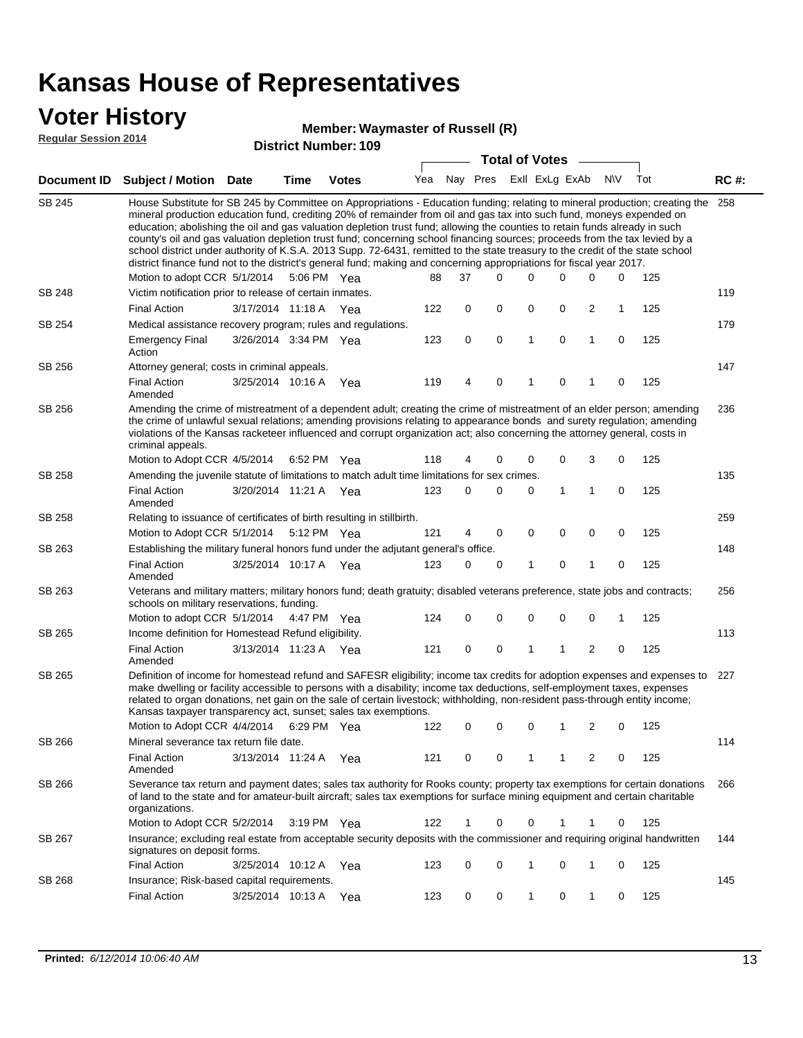#### **Voter History**

**Regular Session 2014**

#### **Waymaster of Russell (R)**

|               |                                                                                                                                                                                                                                                                                                                                                                                                                                                                                                                                                                                                                                                                                                                                                                                                               |                       | u ivu mulliwul |              |     |    | <b>Total of Votes</b>   |              |              |                |             |     |             |
|---------------|---------------------------------------------------------------------------------------------------------------------------------------------------------------------------------------------------------------------------------------------------------------------------------------------------------------------------------------------------------------------------------------------------------------------------------------------------------------------------------------------------------------------------------------------------------------------------------------------------------------------------------------------------------------------------------------------------------------------------------------------------------------------------------------------------------------|-----------------------|----------------|--------------|-----|----|-------------------------|--------------|--------------|----------------|-------------|-----|-------------|
|               | Document ID Subject / Motion                                                                                                                                                                                                                                                                                                                                                                                                                                                                                                                                                                                                                                                                                                                                                                                  | <b>Date</b>           | <b>Time</b>    | <b>Votes</b> | Yea |    | Nay Pres ExII ExLg ExAb |              |              |                | N\V         | Tot | <b>RC#:</b> |
| <b>SB 245</b> | House Substitute for SB 245 by Committee on Appropriations - Education funding; relating to mineral production; creating the<br>mineral production education fund, crediting 20% of remainder from oil and gas tax into such fund, moneys expended on<br>education; abolishing the oil and gas valuation depletion trust fund; allowing the counties to retain funds already in such<br>county's oil and gas valuation depletion trust fund; concerning school financing sources; proceeds from the tax levied by a<br>school district under authority of K.S.A. 2013 Supp. 72-6431, remitted to the state treasury to the credit of the state school<br>district finance fund not to the district's general fund; making and concerning appropriations for fiscal year 2017.<br>Motion to adopt CCR 5/1/2014 |                       |                | 5:06 PM Yea  | 88  | 37 | $\Omega$                | 0            | 0            | $\Omega$       | 0           | 125 | 258         |
| <b>SB 248</b> | Victim notification prior to release of certain inmates.                                                                                                                                                                                                                                                                                                                                                                                                                                                                                                                                                                                                                                                                                                                                                      |                       |                |              |     |    |                         |              |              |                |             |     | 119         |
|               | <b>Final Action</b>                                                                                                                                                                                                                                                                                                                                                                                                                                                                                                                                                                                                                                                                                                                                                                                           | 3/17/2014 11:18 A     |                | Yea          | 122 | 0  | 0                       | 0            | 0            | $\overline{2}$ | 1           | 125 |             |
| SB 254        | Medical assistance recovery program; rules and regulations.                                                                                                                                                                                                                                                                                                                                                                                                                                                                                                                                                                                                                                                                                                                                                   |                       |                |              |     |    |                         |              |              |                |             |     | 179         |
|               | <b>Emergency Final</b><br>Action                                                                                                                                                                                                                                                                                                                                                                                                                                                                                                                                                                                                                                                                                                                                                                              | 3/26/2014 3:34 PM Yea |                |              | 123 | 0  | 0                       | 1            | 0            | $\mathbf{1}$   | $\mathbf 0$ | 125 |             |
| SB 256        | Attorney general; costs in criminal appeals.                                                                                                                                                                                                                                                                                                                                                                                                                                                                                                                                                                                                                                                                                                                                                                  |                       |                |              |     |    |                         |              |              |                |             |     | 147         |
|               | <b>Final Action</b><br>Amended                                                                                                                                                                                                                                                                                                                                                                                                                                                                                                                                                                                                                                                                                                                                                                                | 3/25/2014 10:16 A     |                | Yea          | 119 | 4  | 0                       | 1            | 0            | 1              | 0           | 125 |             |
| SB 256        | Amending the crime of mistreatment of a dependent adult; creating the crime of mistreatment of an elder person; amending<br>the crime of unlawful sexual relations; amending provisions relating to appearance bonds and surety regulation; amending<br>violations of the Kansas racketeer influenced and corrupt organization act; also concerning the attorney general, costs in<br>criminal appeals.                                                                                                                                                                                                                                                                                                                                                                                                       |                       |                |              |     |    |                         |              |              |                |             |     | 236         |
|               | Motion to Adopt CCR 4/5/2014                                                                                                                                                                                                                                                                                                                                                                                                                                                                                                                                                                                                                                                                                                                                                                                  |                       |                | 6:52 PM Yea  | 118 | 4  | 0                       | 0            | 0            | 3              | 0           | 125 |             |
| SB 258        | Amending the juvenile statute of limitations to match adult time limitations for sex crimes.                                                                                                                                                                                                                                                                                                                                                                                                                                                                                                                                                                                                                                                                                                                  |                       |                |              |     |    |                         |              |              |                |             |     | 135         |
|               | <b>Final Action</b><br>Amended                                                                                                                                                                                                                                                                                                                                                                                                                                                                                                                                                                                                                                                                                                                                                                                | 3/20/2014 11:21 A Yea |                |              | 123 | 0  | 0                       | 0            | $\mathbf{1}$ | 1              | 0           | 125 |             |
| SB 258        | Relating to issuance of certificates of birth resulting in stillbirth.                                                                                                                                                                                                                                                                                                                                                                                                                                                                                                                                                                                                                                                                                                                                        |                       |                |              |     |    |                         |              |              |                |             |     | 259         |
|               | Motion to Adopt CCR 5/1/2014 5:12 PM Yea                                                                                                                                                                                                                                                                                                                                                                                                                                                                                                                                                                                                                                                                                                                                                                      |                       |                |              | 121 | 4  | 0                       | $\mathbf 0$  | $\mathbf 0$  | 0              | $\mathbf 0$ | 125 |             |
| SB 263        | Establishing the military funeral honors fund under the adjutant general's office.                                                                                                                                                                                                                                                                                                                                                                                                                                                                                                                                                                                                                                                                                                                            |                       |                |              |     |    |                         |              | $\mathbf 0$  |                |             |     | 148         |
|               | <b>Final Action</b><br>Amended                                                                                                                                                                                                                                                                                                                                                                                                                                                                                                                                                                                                                                                                                                                                                                                | 3/25/2014 10:17 A Yea |                |              | 123 | 0  | 0                       | 1            |              | 1              | 0           | 125 |             |
| SB 263        | Veterans and military matters; military honors fund; death gratuity; disabled veterans preference, state jobs and contracts;<br>schools on military reservations, funding.                                                                                                                                                                                                                                                                                                                                                                                                                                                                                                                                                                                                                                    |                       |                |              |     |    |                         |              |              |                |             |     | 256         |
|               | Motion to adopt CCR 5/1/2014 4:47 PM Yea                                                                                                                                                                                                                                                                                                                                                                                                                                                                                                                                                                                                                                                                                                                                                                      |                       |                |              | 124 | 0  | 0                       | 0            | 0            | 0              | 1           | 125 |             |
| SB 265        | Income definition for Homestead Refund eligibility.                                                                                                                                                                                                                                                                                                                                                                                                                                                                                                                                                                                                                                                                                                                                                           |                       |                |              |     | 0  |                         | 1            | 1            | $\overline{2}$ |             |     | 113         |
|               | <b>Final Action</b><br>Amended                                                                                                                                                                                                                                                                                                                                                                                                                                                                                                                                                                                                                                                                                                                                                                                | 3/13/2014 11:23 A Yea |                |              | 121 |    | 0                       |              |              |                | 0           | 125 |             |
| SB 265        | Definition of income for homestead refund and SAFESR eligibility; income tax credits for adoption expenses and expenses to<br>make dwelling or facility accessible to persons with a disability; income tax deductions, self-employment taxes, expenses<br>related to organ donations, net gain on the sale of certain livestock; withholding, non-resident pass-through entity income;<br>Kansas taxpayer transparency act, sunset; sales tax exemptions.<br>Motion to Adopt CCR 4/4/2014 6:29 PM Yea                                                                                                                                                                                                                                                                                                        |                       |                |              | 122 | 0  | 0                       | 0            | 1            | 2              | 0           | 125 | 227         |
| SB 266        | Mineral severance tax return file date.                                                                                                                                                                                                                                                                                                                                                                                                                                                                                                                                                                                                                                                                                                                                                                       |                       |                |              |     |    |                         |              |              |                |             |     | 114         |
|               | <b>Final Action</b><br>Amended                                                                                                                                                                                                                                                                                                                                                                                                                                                                                                                                                                                                                                                                                                                                                                                | 3/13/2014 11:24 A     |                | Yea          | 121 | 0  | 0                       | 1            | 1            | 2              | 0           | 125 |             |
| SB 266        | Severance tax return and payment dates; sales tax authority for Rooks county; property tax exemptions for certain donations<br>of land to the state and for amateur-built aircraft; sales tax exemptions for surface mining equipment and certain charitable<br>organizations.                                                                                                                                                                                                                                                                                                                                                                                                                                                                                                                                |                       |                |              |     |    |                         |              |              |                |             |     | 266         |
|               | Motion to Adopt CCR 5/2/2014                                                                                                                                                                                                                                                                                                                                                                                                                                                                                                                                                                                                                                                                                                                                                                                  |                       |                | 3:19 PM Yea  | 122 | 1  | 0                       | 0            | 1            | 1              | 0           | 125 |             |
| SB 267        | Insurance; excluding real estate from acceptable security deposits with the commissioner and requiring original handwritten<br>signatures on deposit forms.                                                                                                                                                                                                                                                                                                                                                                                                                                                                                                                                                                                                                                                   |                       |                |              |     |    |                         |              |              |                |             |     | 144         |
|               | <b>Final Action</b>                                                                                                                                                                                                                                                                                                                                                                                                                                                                                                                                                                                                                                                                                                                                                                                           | 3/25/2014 10:12 A Yea |                |              | 123 | 0  | 0                       | 1            | 0            | 1              | 0           | 125 |             |
| SB 268        | Insurance; Risk-based capital requirements.                                                                                                                                                                                                                                                                                                                                                                                                                                                                                                                                                                                                                                                                                                                                                                   |                       |                |              |     |    |                         |              |              |                |             |     | 145         |
|               | <b>Final Action</b>                                                                                                                                                                                                                                                                                                                                                                                                                                                                                                                                                                                                                                                                                                                                                                                           | 3/25/2014 10:13 A     |                | Yea          | 123 | 0  | 0                       | $\mathbf{1}$ | 0            | $\mathbf{1}$   | 0           | 125 |             |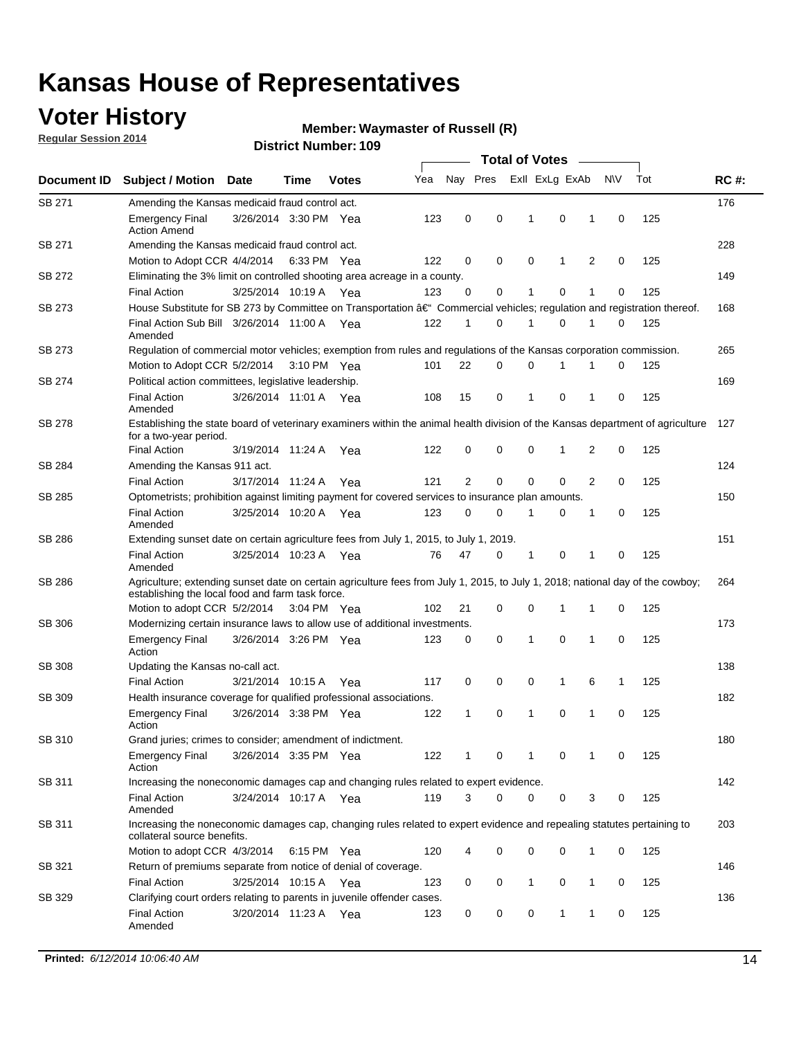## **Voter History**

**Regular Session 2014**

#### **Waymaster of Russell (R)**

|               |                                                                                                                                                                                    |                       |             |       |     |                |          | <b>Total of Votes</b> |             |                |             |     |             |
|---------------|------------------------------------------------------------------------------------------------------------------------------------------------------------------------------------|-----------------------|-------------|-------|-----|----------------|----------|-----------------------|-------------|----------------|-------------|-----|-------------|
| Document ID   | <b>Subject / Motion Date</b>                                                                                                                                                       |                       | Time        | Votes | Yea | Nay Pres       |          | Exll ExLg ExAb        |             |                | <b>NV</b>   | Tot | <b>RC#:</b> |
| SB 271        | Amending the Kansas medicaid fraud control act.                                                                                                                                    |                       |             |       |     |                |          |                       |             |                |             |     | 176         |
|               | <b>Emergency Final</b><br><b>Action Amend</b>                                                                                                                                      | 3/26/2014 3:30 PM Yea |             |       | 123 | 0              | 0        | 1                     | $\mathbf 0$ | 1              | $\mathbf 0$ | 125 |             |
| SB 271        | Amending the Kansas medicaid fraud control act.                                                                                                                                    |                       |             |       |     |                |          |                       |             |                |             |     | 228         |
|               | Motion to Adopt CCR 4/4/2014 6:33 PM Yea                                                                                                                                           |                       |             |       | 122 | 0              | 0        | $\mathbf 0$           | 1           | $\overline{2}$ | 0           | 125 |             |
| SB 272        | Eliminating the 3% limit on controlled shooting area acreage in a county.                                                                                                          |                       |             |       |     |                |          |                       |             |                |             |     | 149         |
|               | <b>Final Action</b>                                                                                                                                                                | 3/25/2014 10:19 A Yea |             |       | 123 | 0              | 0        | 1                     | $\mathbf 0$ | 1              | $\mathbf 0$ | 125 |             |
| SB 273        | House Substitute for SB 273 by Committee on Transportation †Commercial vehicles; regulation and registration thereof.                                                              |                       |             |       |     |                |          |                       |             |                |             |     | 168         |
|               | Final Action Sub Bill 3/26/2014 11:00 A Yea<br>Amended                                                                                                                             |                       |             |       | 122 | 1              | 0        | 1                     | 0           | 1              | 0           | 125 |             |
| SB 273        | Regulation of commercial motor vehicles; exemption from rules and regulations of the Kansas corporation commission.                                                                |                       |             |       |     |                |          |                       |             |                |             |     | 265         |
|               | Motion to Adopt CCR 5/2/2014                                                                                                                                                       |                       | 3:10 PM Yea |       | 101 | 22             | 0        | 0                     |             |                | 0           | 125 |             |
| SB 274        | Political action committees, legislative leadership.                                                                                                                               |                       |             |       |     |                |          |                       |             |                |             |     | 169         |
|               | <b>Final Action</b><br>Amended                                                                                                                                                     | 3/26/2014 11:01 A Yea |             |       | 108 | 15             | 0        | 1                     | $\mathbf 0$ | 1              | 0           | 125 |             |
| <b>SB 278</b> | Establishing the state board of veterinary examiners within the animal health division of the Kansas department of agriculture<br>for a two-year period.                           |                       |             |       |     |                |          |                       |             |                |             |     | 127         |
|               | <b>Final Action</b>                                                                                                                                                                | 3/19/2014 11:24 A     |             | Yea   | 122 | 0              | 0        | 0                     | 1           | 2              | $\mathbf 0$ | 125 |             |
| SB 284        | Amending the Kansas 911 act.                                                                                                                                                       |                       |             |       |     |                |          |                       |             |                |             |     | 124         |
|               | <b>Final Action</b>                                                                                                                                                                | 3/17/2014 11:24 A     |             | Yea   | 121 | $\overline{2}$ | 0        | $\mathbf 0$           | $\mathbf 0$ | 2              | $\mathbf 0$ | 125 |             |
| SB 285        | Optometrists; prohibition against limiting payment for covered services to insurance plan amounts.                                                                                 |                       |             |       |     |                |          |                       |             |                |             |     | 150         |
|               | <b>Final Action</b><br>Amended                                                                                                                                                     | 3/25/2014 10:20 A Yea |             |       | 123 | 0              | 0        | 1                     | 0           | 1              | 0           | 125 |             |
| SB 286        | Extending sunset date on certain agriculture fees from July 1, 2015, to July 1, 2019.                                                                                              |                       |             |       |     |                |          |                       |             |                |             |     | 151         |
|               | <b>Final Action</b><br>Amended                                                                                                                                                     | 3/25/2014 10:23 A Yea |             |       | 76  | 47             | 0        | 1                     | $\mathbf 0$ | 1              | $\mathbf 0$ | 125 |             |
| SB 286        | Agriculture; extending sunset date on certain agriculture fees from July 1, 2015, to July 1, 2018; national day of the cowboy;<br>establishing the local food and farm task force. |                       |             |       |     |                |          |                       |             |                |             |     | 264         |
|               | Motion to adopt CCR 5/2/2014 3:04 PM Yea                                                                                                                                           |                       |             |       | 102 | 21             | 0        | $\mathbf 0$           | 1           | 1              | 0           | 125 |             |
| SB 306        | Modernizing certain insurance laws to allow use of additional investments.                                                                                                         |                       |             |       |     |                |          |                       |             |                |             |     | 173         |
|               | <b>Emergency Final</b><br>Action                                                                                                                                                   | 3/26/2014 3:26 PM Yea |             |       | 123 | 0              | 0        | 1                     | 0           | 1              | $\mathbf 0$ | 125 |             |
| <b>SB 308</b> | Updating the Kansas no-call act.                                                                                                                                                   |                       |             |       |     |                |          |                       |             |                |             |     | 138         |
|               | <b>Final Action</b>                                                                                                                                                                | 3/21/2014 10:15 A     |             | Yea   | 117 | 0              | 0        | 0                     | 1           | 6              | 1           | 125 |             |
| SB 309        | Health insurance coverage for qualified professional associations.                                                                                                                 |                       |             |       |     |                |          |                       |             |                |             |     | 182         |
|               | <b>Emergency Final</b><br>Action                                                                                                                                                   | 3/26/2014 3:38 PM Yea |             |       | 122 | 1              | 0        | 1                     | $\mathbf 0$ | 1              | $\mathbf 0$ | 125 |             |
| SB 310        | Grand juries; crimes to consider; amendment of indictment.                                                                                                                         |                       |             |       |     |                |          |                       |             |                |             |     | 180         |
|               | <b>Emergency Final</b><br>Action                                                                                                                                                   | 3/26/2014 3:35 PM Yea |             |       | 122 |                | 0        |                       | 0           | 1              | 0           | 125 |             |
| SB 311        | Increasing the noneconomic damages cap and changing rules related to expert evidence.                                                                                              |                       |             |       |     |                |          |                       |             |                |             |     | 142         |
|               | <b>Final Action</b><br>Amended                                                                                                                                                     | 3/24/2014 10:17 A Yea |             |       | 119 | 3              | $\Omega$ | 0                     | 0           | 3              | 0           | 125 |             |
| SB 311        | Increasing the noneconomic damages cap, changing rules related to expert evidence and repealing statutes pertaining to<br>collateral source benefits.                              |                       |             |       |     |                |          |                       |             |                |             |     | 203         |
|               | Motion to adopt CCR 4/3/2014 6:15 PM Yea                                                                                                                                           |                       |             |       | 120 | 4              | 0        | 0                     | 0           | 1              | 0           | 125 |             |
| SB 321        | Return of premiums separate from notice of denial of coverage.                                                                                                                     |                       |             |       |     |                |          |                       |             |                |             |     | 146         |
|               | <b>Final Action</b>                                                                                                                                                                | 3/25/2014 10:15 A Yea |             |       | 123 | 0              | 0        | 1                     | 0           | $\mathbf{1}$   | 0           | 125 |             |
| SB 329        | Clarifying court orders relating to parents in juvenile offender cases.<br><b>Final Action</b><br>Amended                                                                          | 3/20/2014 11:23 A Yea |             |       | 123 | 0              | 0        | 0                     | 1           | 1              | 0           | 125 | 136         |
|               |                                                                                                                                                                                    |                       |             |       |     |                |          |                       |             |                |             |     |             |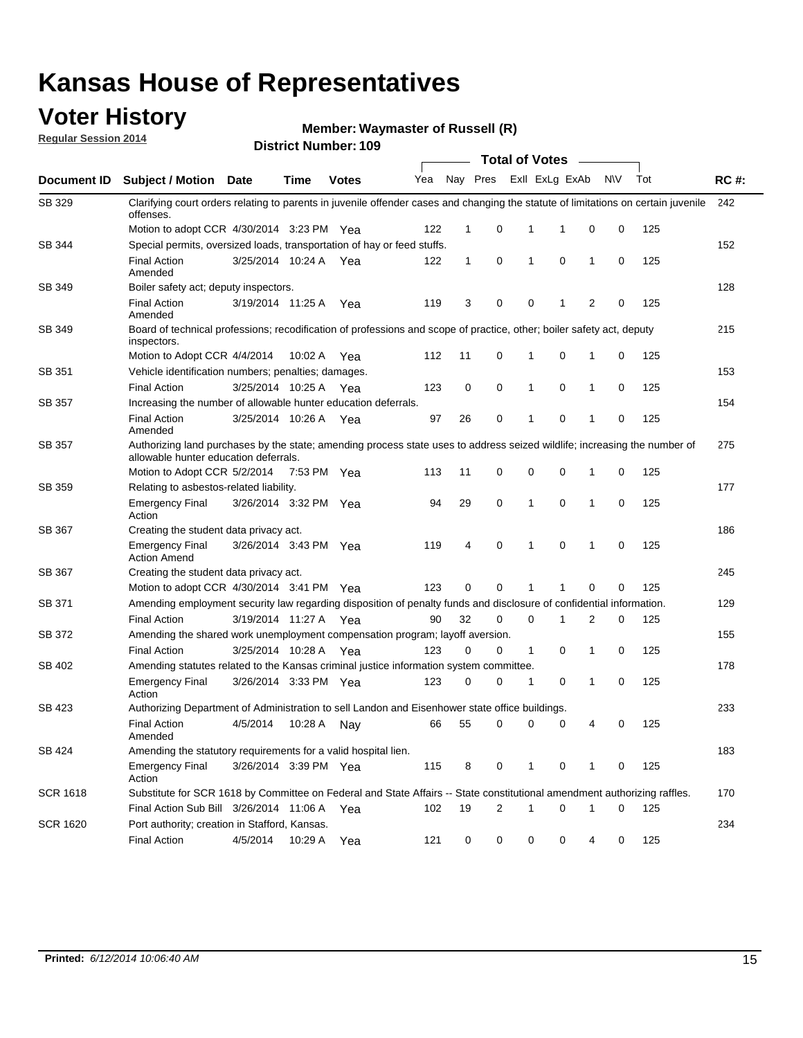### **Voter History**

**Regular Session 2014**

**Waymaster of Russell (R)**

|                 |                                                                                                                                                                    |                       |             |              |     |    |                | <b>Total of Votes</b> |             |   |             |     |             |
|-----------------|--------------------------------------------------------------------------------------------------------------------------------------------------------------------|-----------------------|-------------|--------------|-----|----|----------------|-----------------------|-------------|---|-------------|-----|-------------|
| Document ID     | <b>Subject / Motion</b>                                                                                                                                            | Date                  | Time        | <b>Votes</b> | Yea |    | Nay Pres       | Exll ExLg ExAb        |             |   | <b>NV</b>   | Tot | <b>RC#:</b> |
| SB 329          | Clarifying court orders relating to parents in juvenile offender cases and changing the statute of limitations on certain juvenile<br>offenses.                    |                       |             |              |     |    |                |                       |             |   |             |     | 242         |
|                 | Motion to adopt CCR 4/30/2014 3:23 PM Yea                                                                                                                          |                       |             |              | 122 | 1  | 0              | 1                     | 1           | 0 | 0           | 125 |             |
| SB 344          | Special permits, oversized loads, transportation of hay or feed stuffs.                                                                                            |                       |             |              |     |    |                |                       |             |   |             |     | 152         |
|                 | <b>Final Action</b><br>Amended                                                                                                                                     | 3/25/2014 10:24 A     |             | Yea          | 122 | 1  | 0              | $\mathbf{1}$          | $\mathbf 0$ | 1 | 0           | 125 |             |
| SB 349          | Boiler safety act; deputy inspectors.                                                                                                                              |                       |             |              |     |    |                |                       |             |   |             |     | 128         |
|                 | <b>Final Action</b><br>Amended                                                                                                                                     | 3/19/2014 11:25 A     |             | Yea          | 119 | 3  | 0              | 0                     | 1           | 2 | 0           | 125 |             |
| <b>SB 349</b>   | Board of technical professions; recodification of professions and scope of practice, other; boiler safety act, deputy<br>inspectors.                               |                       |             |              |     |    |                |                       |             |   |             |     | 215         |
|                 | Motion to Adopt CCR 4/4/2014                                                                                                                                       |                       | 10:02 A     | Yea          | 112 | 11 | 0              | 1                     | 0           | 1 | 0           | 125 |             |
| SB 351          | Vehicle identification numbers; penalties; damages.                                                                                                                |                       |             |              |     |    |                |                       |             |   |             |     | 153         |
|                 | <b>Final Action</b>                                                                                                                                                | 3/25/2014 10:25 A     |             | Yea          | 123 | 0  | 0              | 1                     | $\mathbf 0$ | 1 | 0           | 125 |             |
| <b>SB 357</b>   | Increasing the number of allowable hunter education deferrals.                                                                                                     |                       |             |              |     |    |                |                       |             |   |             |     | 154         |
|                 | <b>Final Action</b><br>Amended                                                                                                                                     | 3/25/2014 10:26 A     |             | Yea          | 97  | 26 | 0              | 1                     | $\mathbf 0$ | 1 | 0           | 125 |             |
| SB 357          | Authorizing land purchases by the state; amending process state uses to address seized wildlife; increasing the number of<br>allowable hunter education deferrals. |                       |             |              |     |    |                |                       |             |   |             |     | 275         |
|                 | Motion to Adopt CCR 5/2/2014                                                                                                                                       |                       | 7:53 PM Yea |              | 113 | 11 | 0              | 0                     | 0           | 1 | 0           | 125 |             |
| SB 359          | Relating to asbestos-related liability.                                                                                                                            |                       |             |              |     |    |                |                       |             |   |             |     | 177         |
|                 | <b>Emergency Final</b><br>Action                                                                                                                                   | 3/26/2014 3:32 PM Yea |             |              | 94  | 29 | 0              | 1                     | 0           | 1 | 0           | 125 |             |
| SB 367          | Creating the student data privacy act.                                                                                                                             |                       |             |              |     |    |                |                       |             |   |             |     | 186         |
|                 | <b>Emergency Final</b><br><b>Action Amend</b>                                                                                                                      | 3/26/2014 3:43 PM Yea |             |              | 119 | 4  | 0              | 1                     | $\Omega$    | 1 | $\mathbf 0$ | 125 |             |
| <b>SB 367</b>   | Creating the student data privacy act.                                                                                                                             |                       |             |              |     |    |                |                       |             |   |             |     | 245         |
|                 | Motion to adopt CCR 4/30/2014 3:41 PM Yea                                                                                                                          |                       |             |              | 123 | 0  | $\mathbf 0$    | 1                     | 1           | 0 | 0           | 125 |             |
| SB 371          | Amending employment security law regarding disposition of penalty funds and disclosure of confidential information.                                                |                       |             |              |     |    |                |                       |             |   |             |     | 129         |
|                 | <b>Final Action</b>                                                                                                                                                | 3/19/2014 11:27 A Yea |             |              | 90  | 32 | 0              | 0                     | 1           | 2 | 0           | 125 |             |
| SB 372          | Amending the shared work unemployment compensation program; layoff aversion.                                                                                       |                       |             |              |     |    |                |                       |             |   |             |     | 155         |
|                 | <b>Final Action</b>                                                                                                                                                | 3/25/2014 10:28 A     |             | Yea          | 123 | 0  | 0              | $\mathbf{1}$          | 0           | 1 | 0           | 125 |             |
| SB 402          | Amending statutes related to the Kansas criminal justice information system committee.                                                                             |                       |             |              |     |    |                |                       |             |   |             |     | 178         |
|                 | <b>Emergency Final</b><br>Action                                                                                                                                   | 3/26/2014 3:33 PM Yea |             |              | 123 | 0  | 0              | 1                     | 0           | 1 | 0           | 125 |             |
| SB 423          | Authorizing Department of Administration to sell Landon and Eisenhower state office buildings.                                                                     |                       |             |              |     |    |                |                       |             |   |             |     | 233         |
|                 | <b>Final Action</b><br>Amended                                                                                                                                     | 4/5/2014              | 10:28 A     | Nay          | 66  | 55 | 0              | 0                     | 0           | 4 | 0           | 125 |             |
| SB 424          | Amending the statutory requirements for a valid hospital lien.                                                                                                     |                       |             |              |     |    |                |                       |             |   |             |     | 183         |
|                 | <b>Emergency Final</b><br>Action                                                                                                                                   | 3/26/2014 3:39 PM Yea |             |              | 115 | 8  | 0              | $\mathbf{1}$          | 0           | 1 | 0           | 125 |             |
| <b>SCR 1618</b> | Substitute for SCR 1618 by Committee on Federal and State Affairs -- State constitutional amendment authorizing raffles.                                           |                       |             |              |     |    |                |                       |             |   |             |     | 170         |
|                 | Final Action Sub Bill 3/26/2014 11:06 A Yea                                                                                                                        |                       |             |              | 102 | 19 | $\overline{2}$ | 1                     | 0           | 1 | 0           | 125 |             |
| <b>SCR 1620</b> | Port authority; creation in Stafford, Kansas.                                                                                                                      |                       |             |              |     |    |                |                       |             |   |             |     | 234         |
|                 | <b>Final Action</b>                                                                                                                                                | 4/5/2014              | 10:29 A     | Yea          | 121 | 0  | 0              | 0                     | 0           | 4 | 0           | 125 |             |